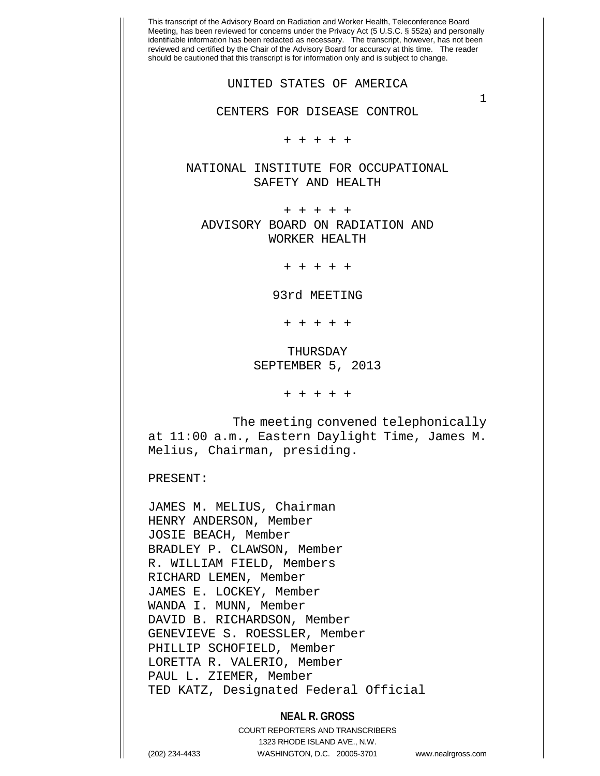This transcript of the Advisory Board on Radiation and Worker Health, Teleconference Board Meeting, has been reviewed for concerns under the Privacy Act (5 U.S.C. § 552a) and personally identifiable information has been redacted as necessary. The transcript, however, has not been reviewed and certified by the Chair of the Advisory Board for accuracy at this time. The reader should be cautioned that this transcript is for information only and is subject to change. 1 UNITED STATES OF AMERICA CENTERS FOR DISEASE CONTROL + + + + + NATIONAL INSTITUTE FOR OCCUPATIONAL SAFETY AND HEALTH + + + + + ADVISORY BOARD ON RADIATION AND WORKER HEALTH + + + + + 93rd MEETING + + + + + THURSDAY SEPTEMBER 5, 2013 + + + + + The meeting convened telephonically at 11:00 a.m., Eastern Daylight Time, James M. Melius, Chairman, presiding. PRESENT: JAMES M. MELIUS, Chairman HENRY ANDERSON, Member JOSIE BEACH, Member BRADLEY P. CLAWSON, Member R. WILLIAM FIELD, Members RICHARD LEMEN, Member JAMES E. LOCKEY, Member WANDA I. MUNN, Member DAVID B. RICHARDSON, Member GENEVIEVE S. ROESSLER, Member PHILLIP SCHOFIELD, Member LORETTA R. VALERIO, Member PAUL L. ZIEMER, Member TED KATZ, Designated Federal Official

## **NEAL R. GROSS**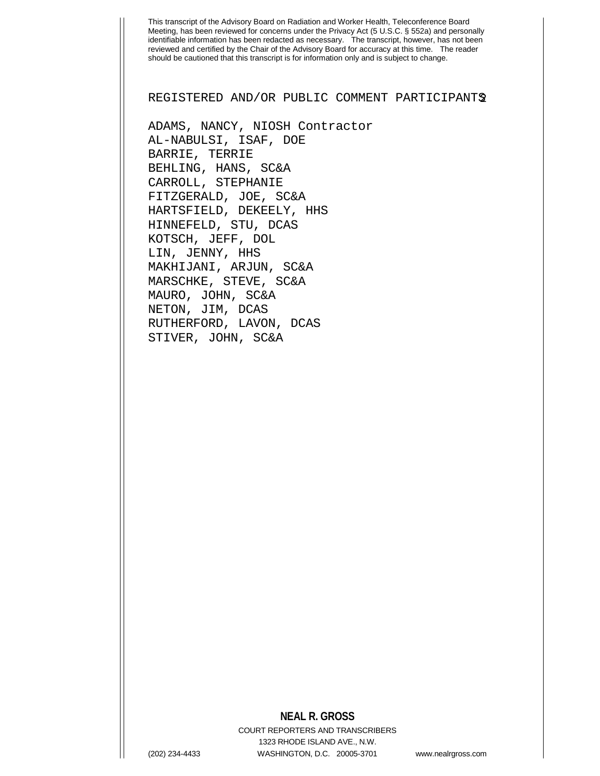REGISTERED AND/OR PUBLIC COMMENT PARTICIPANTS2

ADAMS, NANCY, NIOSH Contractor AL-NABULSI, ISAF, DOE BARRIE, TERRIE BEHLING, HANS, SC&A CARROLL, STEPHANIE FITZGERALD, JOE, SC&A HARTSFIELD, DEKEELY, HHS HINNEFELD, STU, DCAS KOTSCH, JEFF, DOL LIN, JENNY, HHS MAKHIJANI, ARJUN, SC&A MARSCHKE, STEVE, SC&A MAURO, JOHN, SC&A NETON, JIM, DCAS RUTHERFORD, LAVON, DCAS STIVER, JOHN, SC&A

### **NEAL R. GROSS**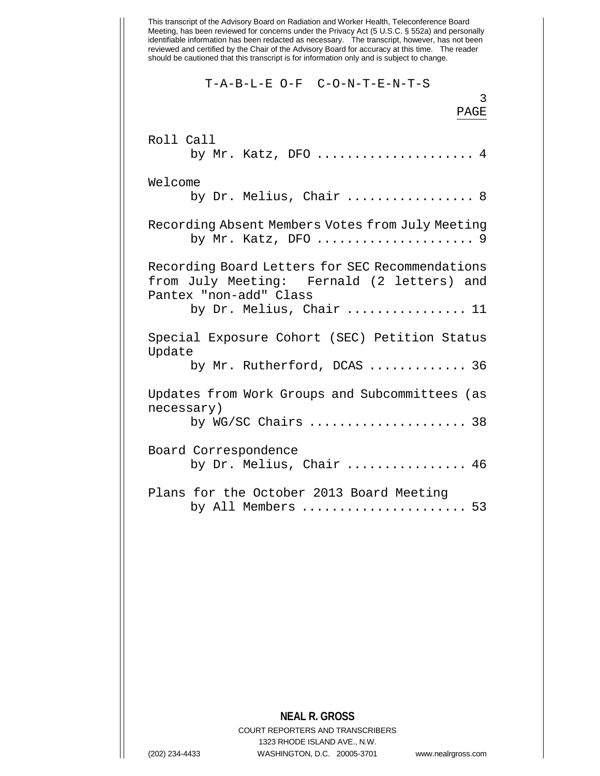This transcript of the Advisory Board on Radiation and Worker Health, Teleconference Board Meeting, has been reviewed for concerns under the Privacy Act (5 U.S.C. § 552a) and personally identifiable information has been redacted as necessary. The transcript, however, has not been reviewed and certified by the Chair of the Advisory Board for accuracy at this time. The reader should be cautioned that this transcript is for information only and is subject to change. 3 T-A-B-L-E O-F C-O-N-T-E-N-T-S PAGE Roll Call by Mr. Katz, DFO ...................... 4 Welcome by Dr. Melius, Chair ................... 8 Recording Absent Members Votes from July Meeting by Mr. Katz, DFO ..................... 9 Recording Board Letters for SEC Recommendations from July Meeting: Fernald (2 letters) and Pantex "non-add" Class by Dr. Melius, Chair ................ 11 Special Exposure Cohort (SEC) Petition Status Update by Mr. Rutherford, DCAS ............. 36 Updates from Work Groups and Subcommittees (as necessary) by WG/SC Chairs ..................... 38 Board Correspondence by Dr. Melius, Chair ................ 46 Plans for the October 2013 Board Meeting by All Members ......................... 53

# **NEAL R. GROSS**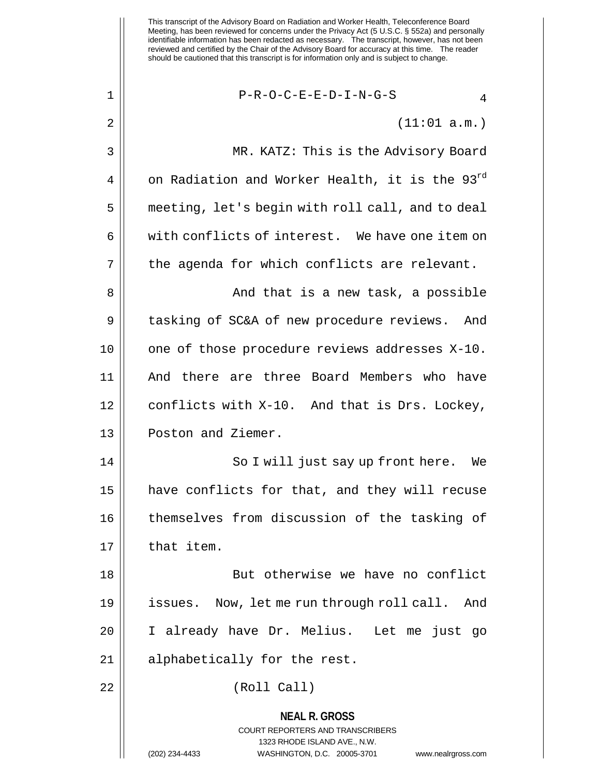$1 \parallel$  P-R-O-C-E-E-D-I-N-G-S 4

 $2 \parallel$  (11:01 a.m.)

3 MR. KATZ: This is the Advisory Board 4 || on Radiation and Worker Health, it is the  $93^{rd}$ 5 | meeting, let's begin with roll call, and to deal 6 || with conflicts of interest. We have one item on  $7 \parallel$  the agenda for which conflicts are relevant. 8 And that is a new task, a possible 9 | tasking of SC&A of new procedure reviews. And

11 And there are three Board Members who have 12 | conflicts with X-10. And that is Drs. Lockey, 13 || Poston and Ziemer.

10 || one of those procedure reviews addresses X-10.

14 || So I will just say up front here. We 15 | have conflicts for that, and they will recuse 16 || themselves from discussion of the tasking of  $17$   $\parallel$  that item.

18 || But otherwise we have no conflict 19 issues. Now, let me run through roll call. And 20 I already have Dr. Melius. Let me just go 21 || alphabetically for the rest.

22 (Roll Call)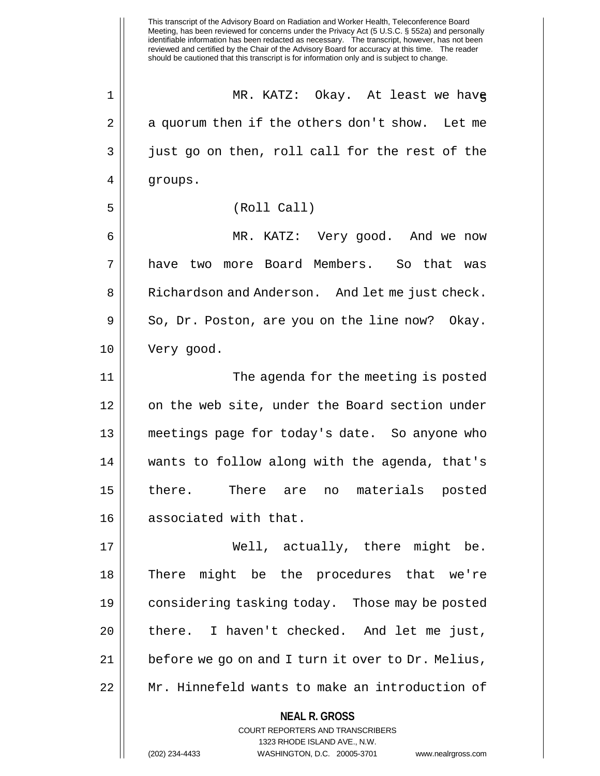This transcript of the Advisory Board on Radiation and Worker Health, Teleconference Board Meeting, has been reviewed for concerns under the Privacy Act (5 U.S.C. § 552a) and personally identifiable information has been redacted as necessary. The transcript, however, has not been reviewed and certified by the Chair of the Advisory Board for accuracy at this time. The reader should be cautioned that this transcript is for information only and is subject to change. 1 MR. KATZ: Okay. At least we have 5  $2 \parallel$  a quorum then if the others don't show. Let me 3 || just go on then, roll call for the rest of the 4 | groups. 5 (Roll Call) 6 MR. KATZ: Very good. And we now 7 have two more Board Members. So that was 8 || Richardson and Anderson. And let me just check.  $9 \parallel$  So, Dr. Poston, are you on the line now? Okay. 10 Very good. 11 || The agenda for the meeting is posted 12 | on the web site, under the Board section under 13 meetings page for today's date. So anyone who 14 wants to follow along with the agenda, that's 15 there. There are no materials posted 16 associated with that. 17 Well, actually, there might be. 18 There might be the procedures that we're 19 considering tasking today. Those may be posted 20 || there. I haven't checked. And let me just, 21 || before we go on and I turn it over to Dr. Melius, 22 Mr. Hinnefeld wants to make an introduction of

**NEAL R. GROSS**

COURT REPORTERS AND TRANSCRIBERS 1323 RHODE ISLAND AVE., N.W.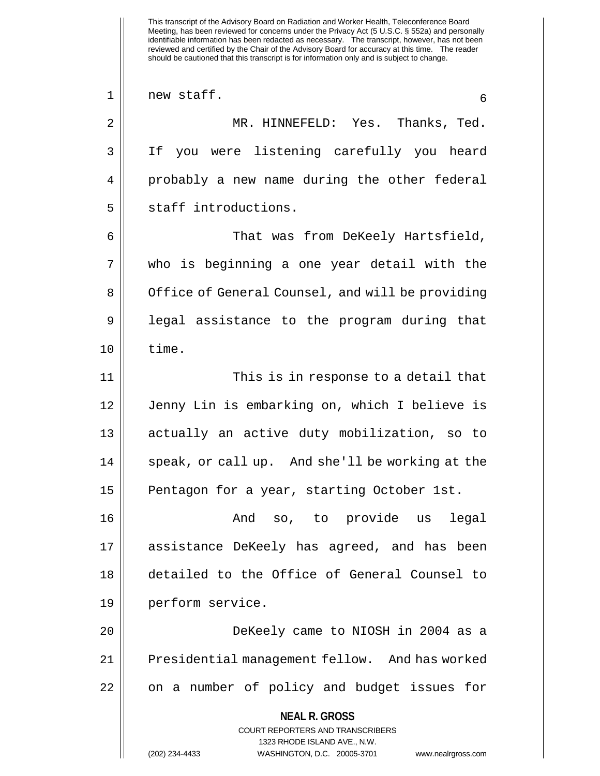This transcript of the Advisory Board on Radiation and Worker Health, Teleconference Board Meeting, has been reviewed for concerns under the Privacy Act (5 U.S.C. § 552a) and personally identifiable information has been redacted as necessary. The transcript, however, has not been reviewed and certified by the Chair of the Advisory Board for accuracy at this time. The reader should be cautioned that this transcript is for information only and is subject to change. **NEAL R. GROSS** COURT REPORTERS AND TRANSCRIBERS 1323 RHODE ISLAND AVE., N.W.  $1 \parallel$  new staff.  $6$ 2 MR. HINNEFELD: Yes. Thanks, Ted. 3 If you were listening carefully you heard 4 probably a new name during the other federal 5 || staff introductions. 6 That was from DeKeely Hartsfield, 7 who is beginning a one year detail with the 8 | Office of General Counsel, and will be providing 9 || legal assistance to the program during that  $10 \parallel$  time. 11 This is in response to a detail that 12 Jenny Lin is embarking on, which I believe is 13 actually an active duty mobilization, so to 14 || speak, or call up. And she'll be working at the 15 || Pentagon for a year, starting October 1st. 16 And so, to provide us legal 17 assistance DeKeely has agreed, and has been 18 detailed to the Office of General Counsel to 19 perform service. 20 DeKeely came to NIOSH in 2004 as a 21 | Presidential management fellow. And has worked 22 || on a number of policy and budget issues for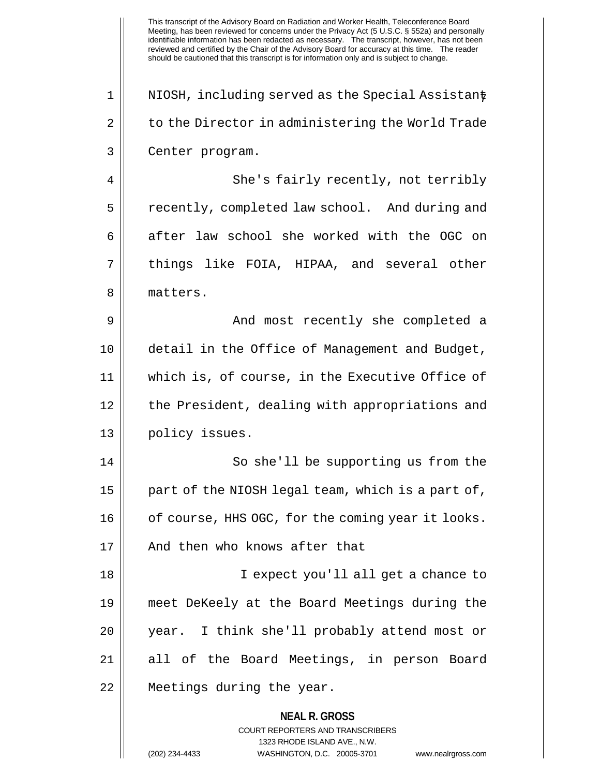**NEAL R. GROSS** COURT REPORTERS AND TRANSCRIBERS 1323 RHODE ISLAND AVE., N.W. (202) 234-4433 WASHINGTON, D.C. 20005-3701 www.nealrgross.com  $1 \parallel$  NIOSH, including served as the Special Assistant 2 | to the Director in administering the World Trade 3 || Center program. 4 || She's fairly recently, not terribly 5 | recently, completed law school. And during and 6 after law school she worked with the OGC on 7 || things like FOIA, HIPAA, and several other 8 || matters. 9 And most recently she completed a 10 detail in the Office of Management and Budget, 11 which is, of course, in the Executive Office of 12 || the President, dealing with appropriations and 13 || policy issues. 14 || So she'll be supporting us from the  $15$  | part of the NIOSH legal team, which is a part of, 16 | cf course, HHS OGC, for the coming year it looks. 17 H And then who knows after that 18 I expect you'll all get a chance to 19 meet DeKeely at the Board Meetings during the 20 year. I think she'll probably attend most or 21 || all of the Board Meetings, in person Board 22 Meetings during the year.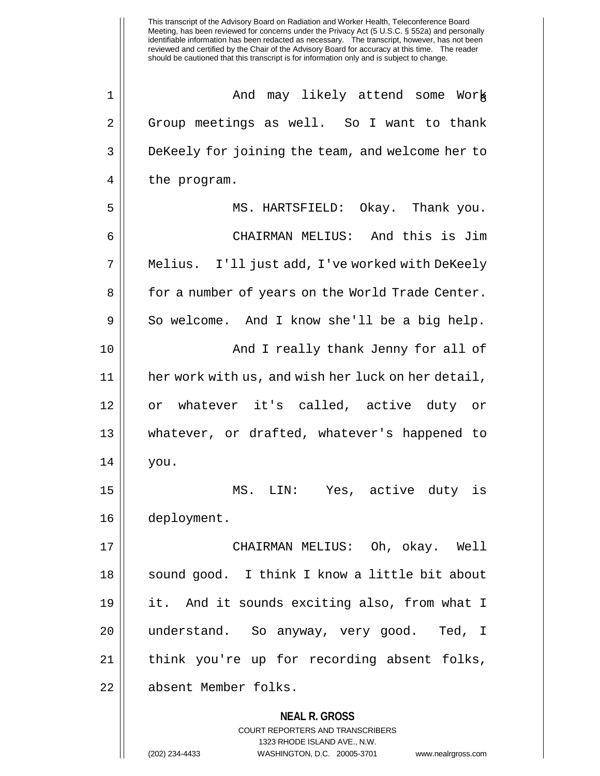**NEAL R. GROSS** COURT REPORTERS AND TRANSCRIBERS 1323 RHODE ISLAND AVE., N.W. (202) 234-4433 WASHINGTON, D.C. 20005-3701 www.nealrgross.com 1 And may likely attend some Work 8 2 Group meetings as well. So I want to thank 3 || DeKeely for joining the team, and welcome her to  $4 \parallel$  the program. 5 MS. HARTSFIELD: Okay. Thank you. 6 CHAIRMAN MELIUS: And this is Jim 7 || Melius. I'll just add, I've worked with DeKeely 8 | for a number of years on the World Trade Center.  $9 \parallel$  So welcome. And I know she'll be a big help. 10 || And I really thank Jenny for all of 11 her work with us, and wish her luck on her detail, 12 or whatever it's called, active duty or 13 whatever, or drafted, whatever's happened to 14 you. 15 MS. LIN: Yes, active duty is 16 deployment. 17 CHAIRMAN MELIUS: Oh, okay. Well 18 || sound good. I think I know a little bit about 19 it. And it sounds exciting also, from what I 20 || understand. So anyway, very good. Ted, I 21 think you're up for recording absent folks, 22 absent Member folks.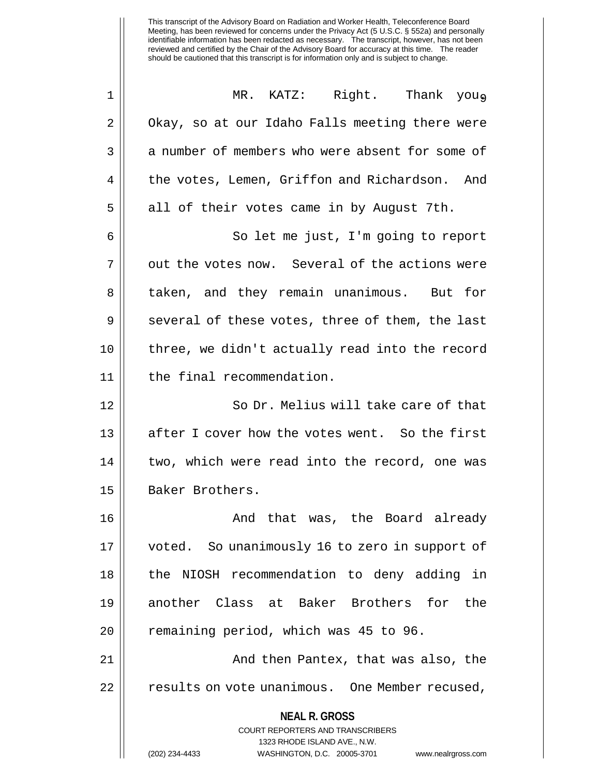| 1  | MR. KATZ: Right. Thank you.                                                                                                                                            |
|----|------------------------------------------------------------------------------------------------------------------------------------------------------------------------|
| 2  | Okay, so at our Idaho Falls meeting there were                                                                                                                         |
| 3  | a number of members who were absent for some of                                                                                                                        |
| 4  | the votes, Lemen, Griffon and Richardson. And                                                                                                                          |
| 5  | all of their votes came in by August 7th.                                                                                                                              |
| 6  | So let me just, I'm going to report                                                                                                                                    |
| 7  | out the votes now. Several of the actions were                                                                                                                         |
| 8  | taken, and they remain unanimous. But for                                                                                                                              |
| 9  | several of these votes, three of them, the last                                                                                                                        |
| 10 | three, we didn't actually read into the record                                                                                                                         |
| 11 | the final recommendation.                                                                                                                                              |
| 12 | So Dr. Melius will take care of that                                                                                                                                   |
| 13 | after I cover how the votes went. So the first                                                                                                                         |
| 14 | two, which were read into the record, one was                                                                                                                          |
| 15 | Baker Brothers.                                                                                                                                                        |
| 16 | And that was, the Board already                                                                                                                                        |
| 17 | voted. So unanimously 16 to zero in support of                                                                                                                         |
| 18 | NIOSH recommendation to deny adding in<br>the                                                                                                                          |
| 19 | another Class at Baker Brothers for the                                                                                                                                |
| 20 | remaining period, which was 45 to 96.                                                                                                                                  |
| 21 | And then Pantex, that was also, the                                                                                                                                    |
| 22 | results on vote unanimous. One Member recused,                                                                                                                         |
|    | <b>NEAL R. GROSS</b><br><b>COURT REPORTERS AND TRANSCRIBERS</b><br>1323 RHODE ISLAND AVE., N.W.<br>WASHINGTON, D.C. 20005-3701<br>(202) 234-4433<br>www.nealrgross.com |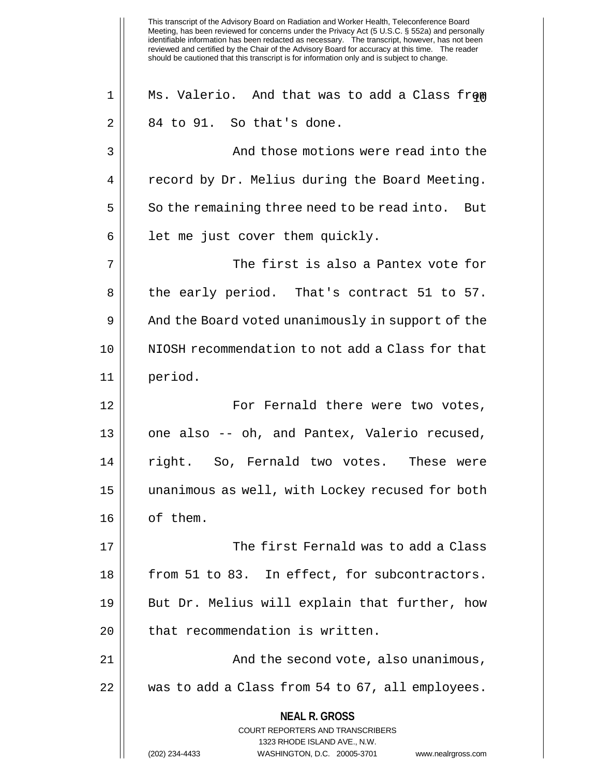This transcript of the Advisory Board on Radiation and Worker Health, Teleconference Board Meeting, has been reviewed for concerns under the Privacy Act (5 U.S.C. § 552a) and personally identifiable information has been redacted as necessary. The transcript, however, has not been reviewed and certified by the Chair of the Advisory Board for accuracy at this time. The reader should be cautioned that this transcript is for information only and is subject to change. **NEAL R. GROSS** COURT REPORTERS AND TRANSCRIBERS 1323 RHODE ISLAND AVE., N.W. (202) 234-4433 WASHINGTON, D.C. 20005-3701 www.nealrgross.com 1 || Ms. Valerio. And that was to add a Class from  $2 \parallel 84$  to 91. So that's done. 3 And those motions were read into the 4 | record by Dr. Melius during the Board Meeting.  $5 \parallel$  So the remaining three need to be read into. But  $6$  || let me just cover them quickly. 7 The first is also a Pantex vote for 8 || the early period. That's contract 51 to 57. 9 | And the Board voted unanimously in support of the 10 NIOSH recommendation to not add a Class for that 11 period. 12 For Fernald there were two votes, 13 || one also -- oh, and Pantex, Valerio recused, 14 || right. So, Fernald two votes. These were 15 unanimous as well, with Lockey recused for both 16 || of them. 17  $\parallel$  The first Fernald was to add a Class 18 || from 51 to 83. In effect, for subcontractors. 19 || But Dr. Melius will explain that further, how  $20$  | that recommendation is written. 21 And the second vote, also unanimous, 22 was to add a Class from 54 to 67, all employees.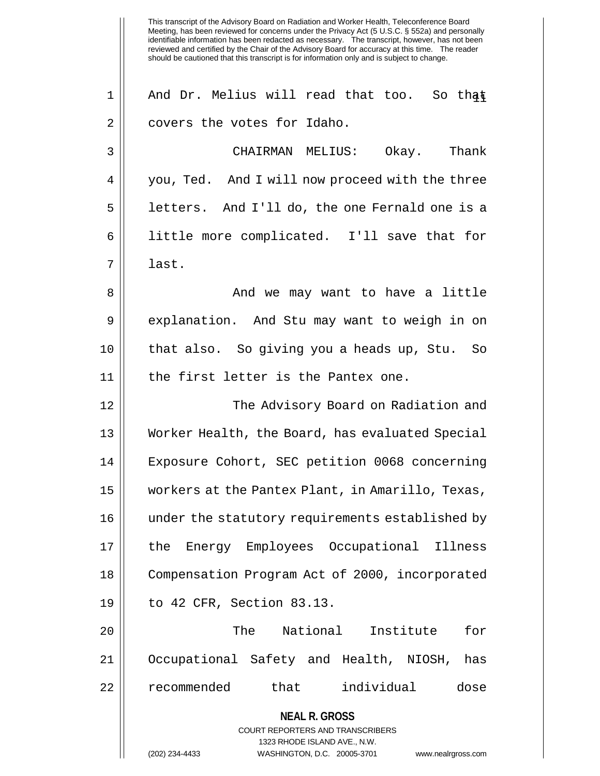1 || And Dr. Melius will read that too. So that 2 | covers the votes for Idaho. 3 CHAIRMAN MELIUS: Okay. Thank 4 || you, Ted. And I will now proceed with the three 5 | letters. And I'll do, the one Fernald one is a 6 little more complicated. I'll save that for 7 last. 8 And we may want to have a little 9 explanation. And Stu may want to weigh in on 10 that also. So giving you a heads up, Stu. So 11 || the first letter is the Pantex one. 12 The Advisory Board on Radiation and 13 Worker Health, the Board, has evaluated Special 14 Exposure Cohort, SEC petition 0068 concerning

 workers at the Pantex Plant, in Amarillo, Texas, under the statutory requirements established by the Energy Employees Occupational Illness Compensation Program Act of 2000, incorporated to 42 CFR, Section 83.13.

20 || The National Institute for 21 Occupational Safety and Health, NIOSH, has 22 recommended that individual dose

**NEAL R. GROSS**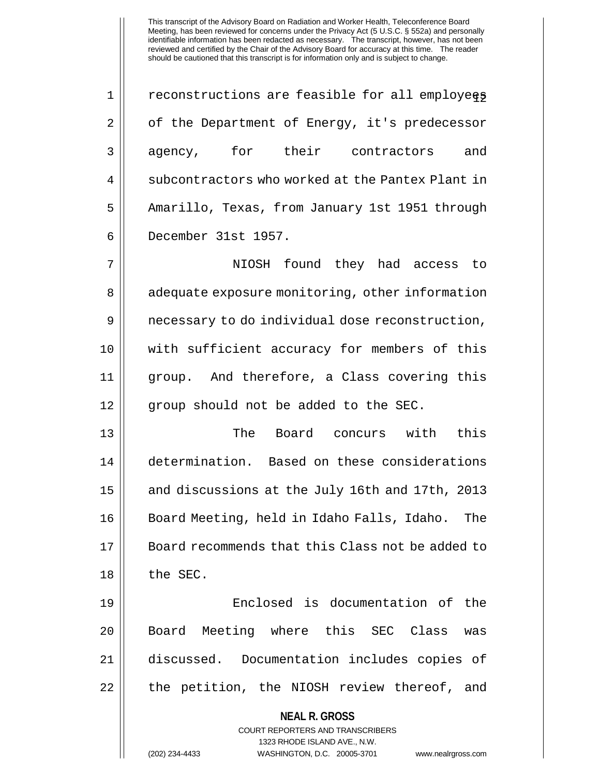$1 \parallel$  reconstructions are feasible for all employees 2 | of the Department of Energy, it's predecessor 3 agency, for their contractors and 4 || subcontractors who worked at the Pantex Plant in 5 | Amarillo, Texas, from January 1st 1951 through 6 December 31st 1957.

7 NIOSH found they had access to 8 || adequate exposure monitoring, other information 9 | necessary to do individual dose reconstruction, 10 with sufficient accuracy for members of this 11 group. And therefore, a Class covering this 12 || qroup should not be added to the SEC.

 The Board concurs with this determination. Based on these considerations 15 | and discussions at the July 16th and 17th, 2013 Board Meeting, held in Idaho Falls, Idaho. The Board recommends that this Class not be added to || the SEC.

19 Enclosed is documentation of the 20 || Board Meeting where this SEC Class was 21 discussed. Documentation includes copies of 22 || the petition, the NIOSH review thereof, and

> **NEAL R. GROSS** COURT REPORTERS AND TRANSCRIBERS 1323 RHODE ISLAND AVE., N.W.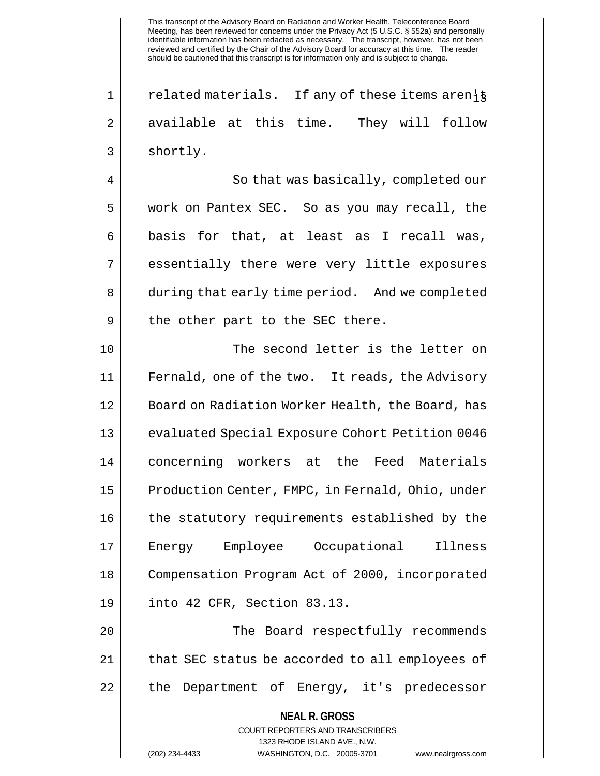$1 ||$  related materials. If any of these items aren $\frac{1}{9}$ 2 available at this time. They will follow  $3 \parallel$  shortly.

4 || So that was basically, completed our 5 work on Pantex SEC. So as you may recall, the  $6 \parallel$  basis for that, at least as I recall was, 7 || essentially there were very little exposures 8 | during that early time period. And we completed  $9 \parallel$  the other part to the SEC there.

10 || The second letter is the letter on 11 Fernald, one of the two. It reads, the Advisory 12 | Board on Radiation Worker Health, the Board, has 13 evaluated Special Exposure Cohort Petition 0046 14 concerning workers at the Feed Materials 15 | Production Center, FMPC, in Fernald, Ohio, under 16 || the statutory requirements established by the 17 Energy Employee Occupational Illness 18 Compensation Program Act of 2000, incorporated 19 into 42 CFR, Section 83.13.

20 || The Board respectfully recommends 21 || that SEC status be accorded to all employees of 22 || the Department of Energy, it's predecessor

> **NEAL R. GROSS** COURT REPORTERS AND TRANSCRIBERS

> > 1323 RHODE ISLAND AVE., N.W.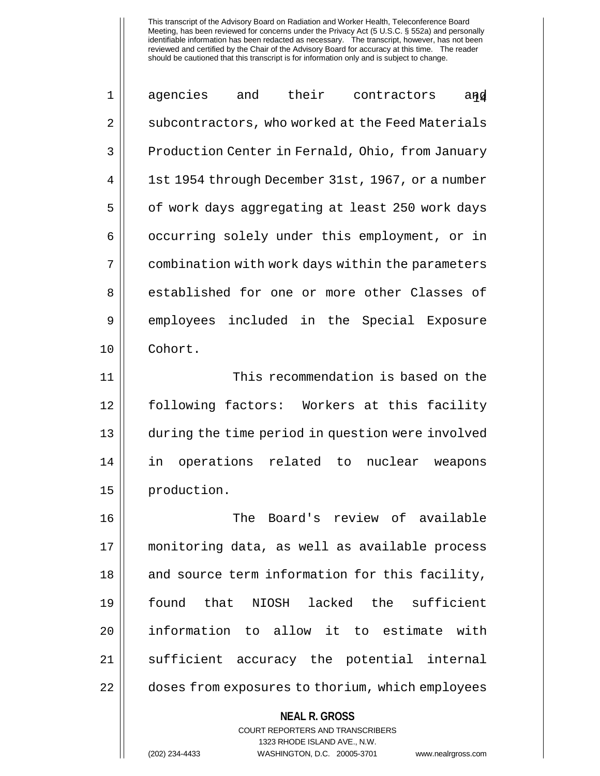1 || agencies and their contractors and 2 | subcontractors, who worked at the Feed Materials 3 | Production Center in Fernald, Ohio, from January 4 | 1st 1954 through December 31st, 1967, or a number  $5 \parallel$  of work days aggregating at least 250 work days 6 | occurring solely under this employment, or in 7 | combination with work days within the parameters 8 established for one or more other Classes of 9 employees included in the Special Exposure 10 Cohort. 11 | This recommendation is based on the

 following factors: Workers at this facility during the time period in question were involved in operations related to nuclear weapons 15 | production.

 The Board's review of available monitoring data, as well as available process || and source term information for this facility, found that NIOSH lacked the sufficient information to allow it to estimate with 21 || sufficient accuracy the potential internal 22 || doses from exposures to thorium, which employees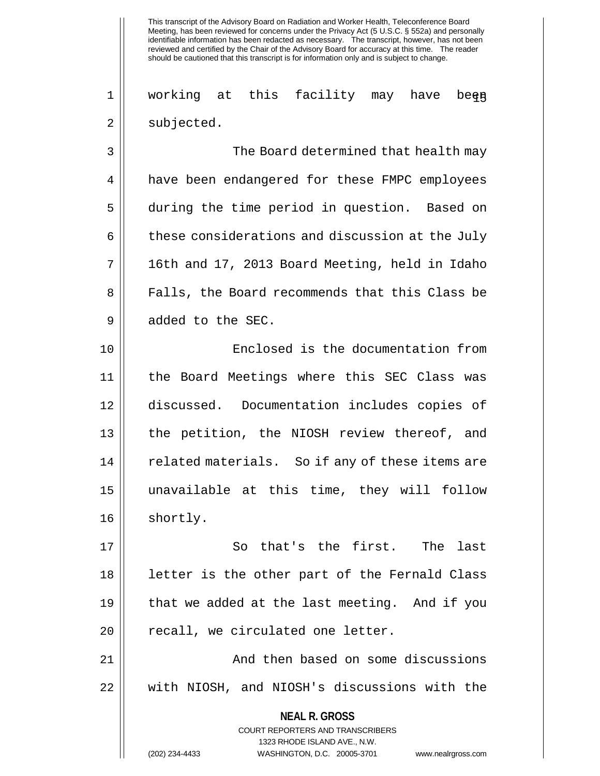1 || working at this facility may have bee<del>n</del>  $2 \parallel$  subjected.

3 The Board determined that health may 4 **h** have been endangered for these FMPC employees 5 during the time period in question. Based on  $6 \parallel$  these considerations and discussion at the July  $7 \parallel$  16th and 17, 2013 Board Meeting, held in Idaho 8 || Falls, the Board recommends that this Class be 9 || added to the SEC.

10 Enclosed is the documentation from 11 the Board Meetings where this SEC Class was 12 discussed. Documentation includes copies of 13 || the petition, the NIOSH review thereof, and 14 || related materials. So if any of these items are 15 unavailable at this time, they will follow 16 || shortly.

17 || So that's the first. The last 18 letter is the other part of the Fernald Class 19 that we added at the last meeting. And if you 20 || recall, we circulated one letter.

21 | No. 2012 And then based on some discussions 22 || with NIOSH, and NIOSH's discussions with the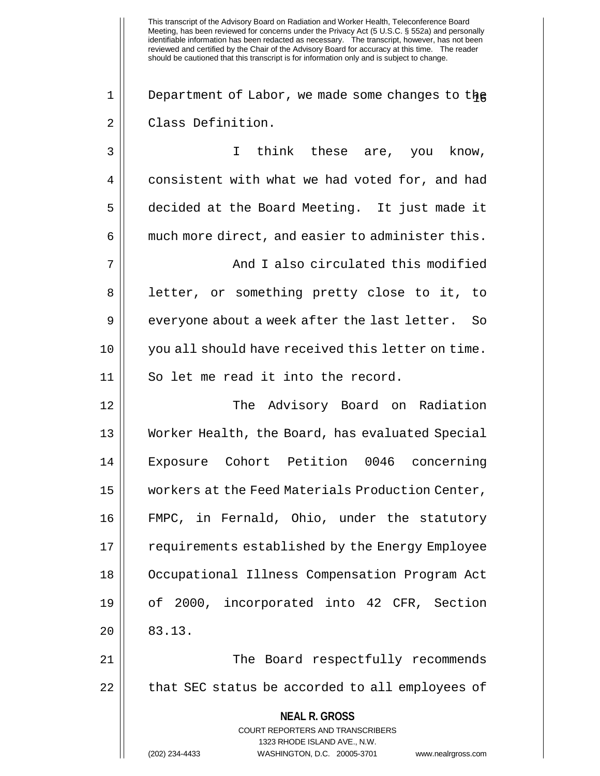1 || Department of Labor, we made some changes to the 2 || Class Definition.

**NEAL R. GROSS** COURT REPORTERS AND TRANSCRIBERS 1323 RHODE ISLAND AVE., N.W. 3 || I think these are, you know, 4 consistent with what we had voted for, and had 5 decided at the Board Meeting. It just made it  $6 \parallel$  much more direct, and easier to administer this. 7 || And I also circulated this modified 8 || letter, or something pretty close to it, to  $9 \parallel$  everyone about a week after the last letter. So 10 || you all should have received this letter on time. 11 || So let me read it into the record. 12 The Advisory Board on Radiation 13 Worker Health, the Board, has evaluated Special 14 Exposure Cohort Petition 0046 concerning 15 workers at the Feed Materials Production Center, 16 FMPC, in Fernald, Ohio, under the statutory 17 || requirements established by the Energy Employee 18 Occupational Illness Compensation Program Act 19 of 2000, incorporated into 42 CFR, Section  $20 \parallel 83.13.$ 21 The Board respectfully recommends  $22$  | that SEC status be accorded to all employees of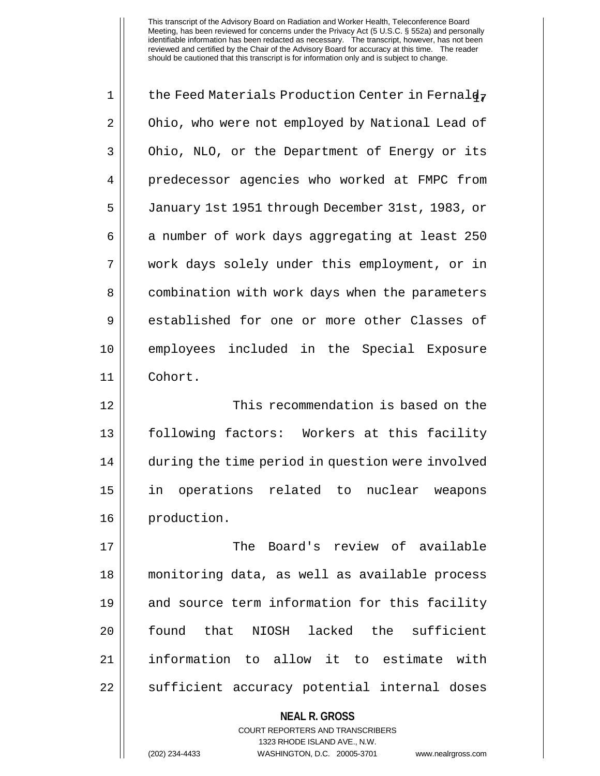| $\mathbf 1$ | the Feed Materials Production Center in Fernald7                                                    |
|-------------|-----------------------------------------------------------------------------------------------------|
| 2           | Ohio, who were not employed by National Lead of                                                     |
| 3           | Ohio, NLO, or the Department of Energy or its                                                       |
| 4           | predecessor agencies who worked at FMPC from                                                        |
| 5           | January 1st 1951 through December 31st, 1983, or                                                    |
| 6           | a number of work days aggregating at least 250                                                      |
| 7           | work days solely under this employment, or in                                                       |
| 8           | combination with work days when the parameters                                                      |
| 9           | established for one or more other Classes of                                                        |
| 10          | employees included in the Special Exposure                                                          |
| 11          | Cohort.                                                                                             |
| 12          | This recommendation is based on the                                                                 |
| 13          | following factors: Workers at this facility                                                         |
| 14          | during the time period in question were involved                                                    |
| 15          | operations<br>related to<br>nuclear<br>in<br>weapons                                                |
| 16          | production.                                                                                         |
| 17          | The Board's review of available                                                                     |
| 18          | monitoring data, as well as available process                                                       |
| 19          | and source term information for this facility                                                       |
| 20          | found<br>that NIOSH lacked the sufficient                                                           |
| 21          | information to allow it to estimate with                                                            |
| 22          | sufficient accuracy potential internal doses                                                        |
|             | <b>NEAL R. GROSS</b>                                                                                |
|             | <b>COURT REPORTERS AND TRANSCRIBERS</b>                                                             |
|             | 1323 RHODE ISLAND AVE., N.W.<br>(202) 234-4433<br>WASHINGTON, D.C. 20005-3701<br>www.nealrgross.com |
|             |                                                                                                     |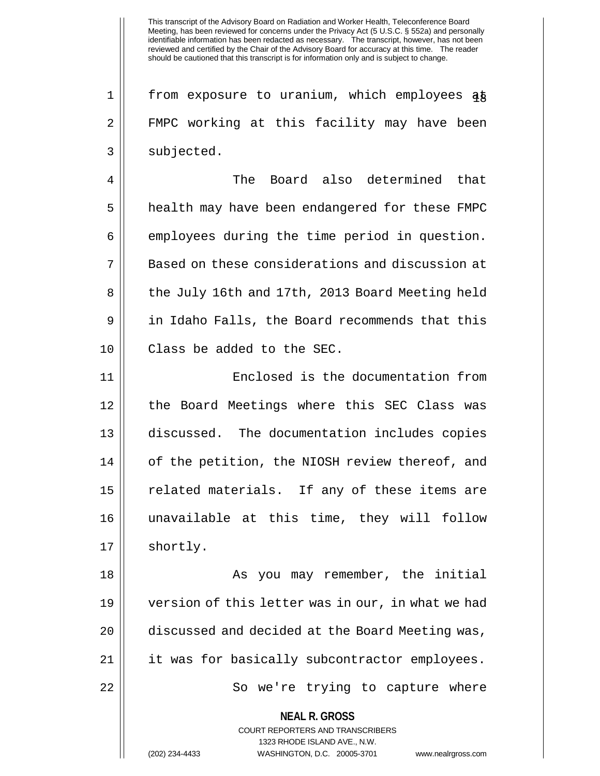1 || from exposure to uranium, which employees at 2 FMPC working at this facility may have been  $3 \parallel$  subjected.

4 The Board also determined that 5 | health may have been endangered for these FMPC  $6 \parallel$  employees during the time period in question. 7 || Based on these considerations and discussion at 8 || the July 16th and 17th, 2013 Board Meeting held 9 || in Idaho Falls, the Board recommends that this 10 Class be added to the SEC.

11 Enclosed is the documentation from 12 || the Board Meetings where this SEC Class was 13 discussed. The documentation includes copies 14 || of the petition, the NIOSH review thereof, and 15 || related materials. If any of these items are 16 unavailable at this time, they will follow 17 | shortly.

18 || As you may remember, the initial 19 version of this letter was in our, in what we had 20 | discussed and decided at the Board Meeting was, 21 || it was for basically subcontractor employees. 22 || So we're trying to capture where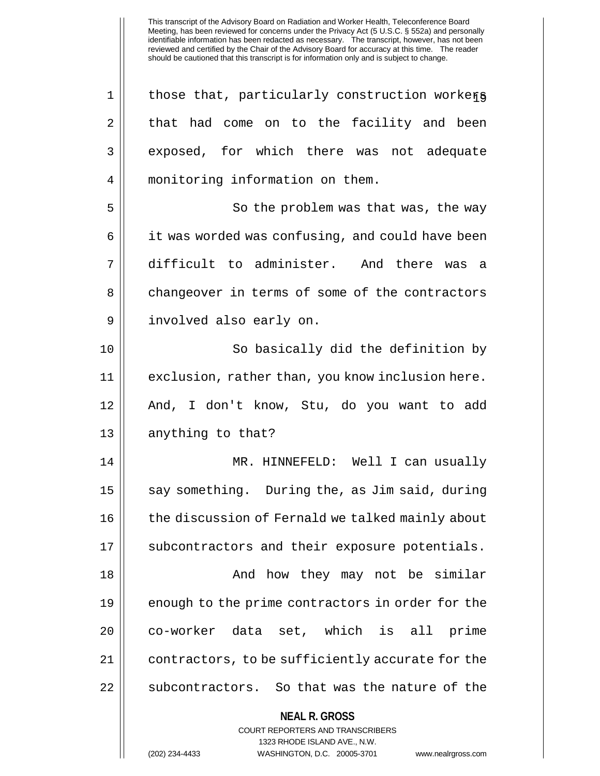**NEAL R. GROSS** COURT REPORTERS AND TRANSCRIBERS 1323 RHODE ISLAND AVE., N.W. (202) 234-4433 WASHINGTON, D.C. 20005-3701 www.nealrgross.com  $1 \parallel$  those that, particularly construction workers  $2 \parallel$  that had come on to the facility and been 3 exposed, for which there was not adequate 4 monitoring information on them. 5 | So the problem was that was, the way 6 | it was worded was confusing, and could have been 7 difficult to administer. And there was a 8 changeover in terms of some of the contractors 9 || involved also early on. 10 || So basically did the definition by 11 exclusion, rather than, you know inclusion here. 12 And, I don't know, Stu, do you want to add 13 || anything to that? 14 MR. HINNEFELD: Well I can usually 15  $\parallel$  say something. During the, as Jim said, during 16 || the discussion of Fernald we talked mainly about 17 || subcontractors and their exposure potentials. 18 And how they may not be similar 19 || enough to the prime contractors in order for the 20 || co-worker data set, which is all prime 21 || contractors, to be sufficiently accurate for the 22 || subcontractors. So that was the nature of the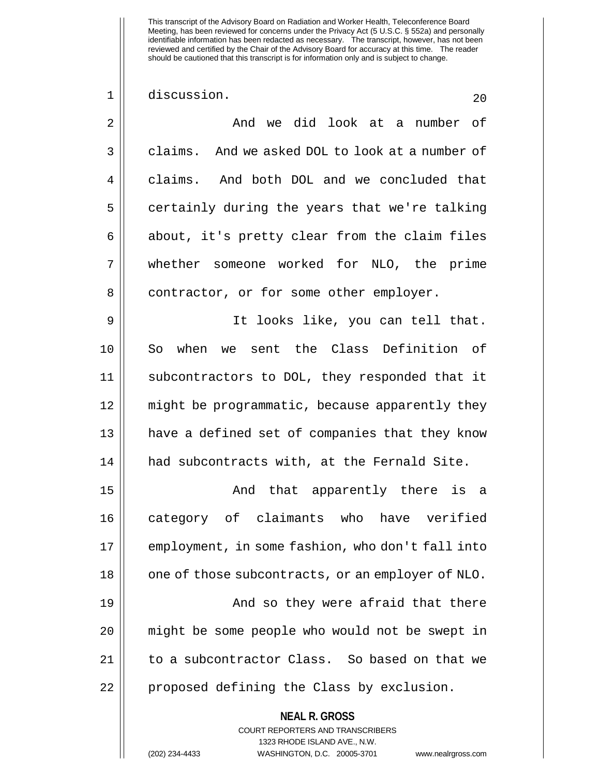1 discussion. 20

**NEAL R. GROSS** COURT REPORTERS AND TRANSCRIBERS 2 And we did look at a number of 3 claims. And we asked DOL to look at a number of 4 claims. And both DOL and we concluded that  $5 \parallel$  certainly during the years that we're talking  $6 \parallel$  about, it's pretty clear from the claim files 7 whether someone worked for NLO, the prime 8 | contractor, or for some other employer. 9 It looks like, you can tell that. 10 So when we sent the Class Definition of 11 subcontractors to DOL, they responded that it 12 might be programmatic, because apparently they 13 || have a defined set of companies that they know 14 had subcontracts with, at the Fernald Site. 15 And that apparently there is a 16 category of claimants who have verified 17 employment, in some fashion, who don't fall into 18 || one of those subcontracts, or an employer of NLO. 19 || And so they were afraid that there 20 || might be some people who would not be swept in 21 | to a subcontractor Class. So based on that we 22 || proposed defining the Class by exclusion.

1323 RHODE ISLAND AVE., N.W.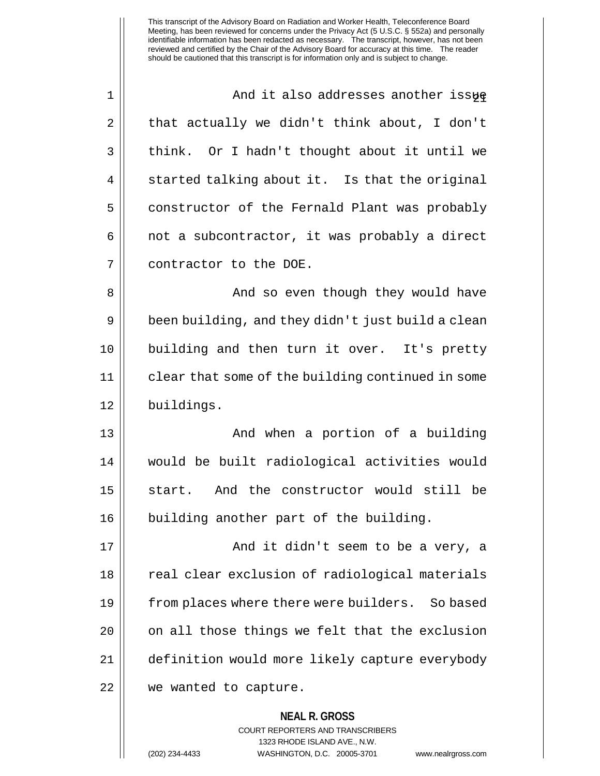1 || And it also addresses another issue  $2 \parallel$  that actually we didn't think about, I don't  $3 \parallel$  think. Or I hadn't thought about it until we  $4 \parallel$  started talking about it. Is that the original 5 constructor of the Fernald Plant was probably  $6 \parallel$  not a subcontractor, it was probably a direct 7 || contractor to the DOE. 8 And so even though they would have  $9 \parallel$  been building, and they didn't just build a clean 10 building and then turn it over. It's pretty 11 clear that some of the building continued in some 12 || buildings. 13 || And when a portion of a building 14 would be built radiological activities would 15 || start. And the constructor would still be 16 || building another part of the building. 17 || And it didn't seem to be a very, a 18 || real clear exclusion of radiological materials 19 from places where there were builders. So based  $20$  |  $\degree$  on all those things we felt that the exclusion 21 definition would more likely capture everybody 22 || we wanted to capture.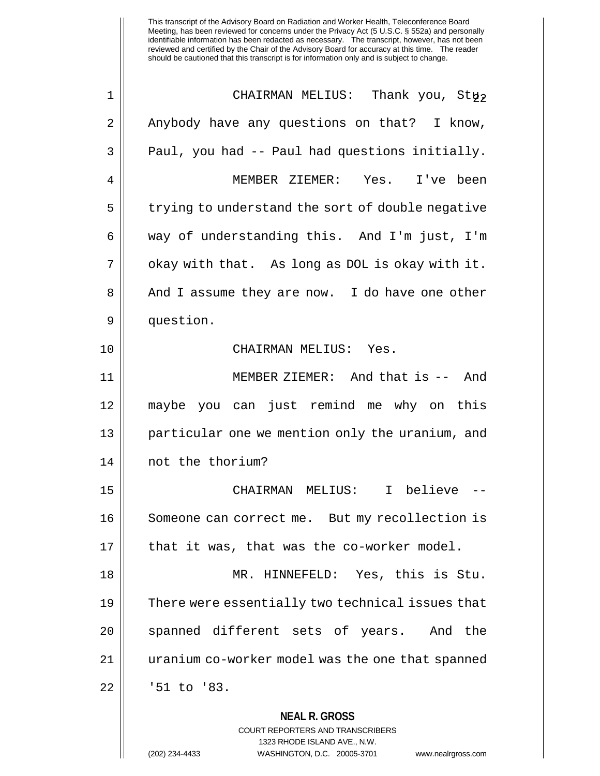**NEAL R. GROSS** 1 CHAIRMAN MELIUS: Thank you, Stu. 22 2 | Anybody have any questions on that? I know,  $3 \parallel$  Paul, you had -- Paul had questions initially. 4 MEMBER ZIEMER: Yes. I've been 5 | trying to understand the sort of double negative 6 way of understanding this. And I'm just, I'm  $7 \parallel$  okay with that. As long as DOL is okay with it. 8 || And I assume they are now. I do have one other 9 | question. 10 CHAIRMAN MELIUS: Yes. 11 || MEMBER ZIEMER: And that is -- And 12 maybe you can just remind me why on this 13 || particular one we mention only the uranium, and 14 not the thorium? 15 CHAIRMAN MELIUS: I believe -- 16 || Someone can correct me. But my recollection is  $17$  || that it was, that was the co-worker model. 18 MR. HINNEFELD: Yes, this is Stu. 19 || There were essentially two technical issues that 20 || spanned different sets of years. And the 21 uranium co-worker model was the one that spanned 22 | 151 to '83.

> COURT REPORTERS AND TRANSCRIBERS 1323 RHODE ISLAND AVE., N.W.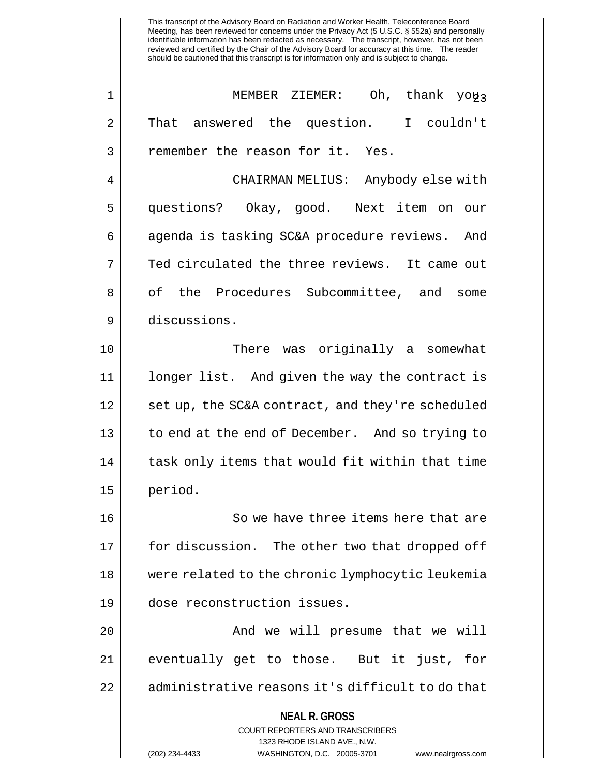**NEAL R. GROSS** COURT REPORTERS AND TRANSCRIBERS 1323 RHODE ISLAND AVE., N.W. (202) 234-4433 WASHINGTON, D.C. 20005-3701 www.nealrgross.com 1 || MEMBER ZIEMER: Oh, thank yoy3 2 That answered the question. I couldn't 3 || remember the reason for it. Yes. 4 CHAIRMAN MELIUS: Anybody else with 5 questions? Okay, good. Next item on our 6 | agenda is tasking SC&A procedure reviews. And  $7 \parallel$  Ted circulated the three reviews. It came out 8 || of the Procedures Subcommittee, and some 9 discussions. 10 There was originally a somewhat 11 longer list. And given the way the contract is 12 || set up, the SC&A contract, and they're scheduled 13 || to end at the end of December. And so trying to 14 || task only items that would fit within that time 15 period. 16 || So we have three items here that are 17 || for discussion. The other two that dropped off 18 were related to the chronic lymphocytic leukemia 19 dose reconstruction issues. 20 || The South We will presume that we will 21 || eventually get to those. But it just, for 22 || administrative reasons it's difficult to do that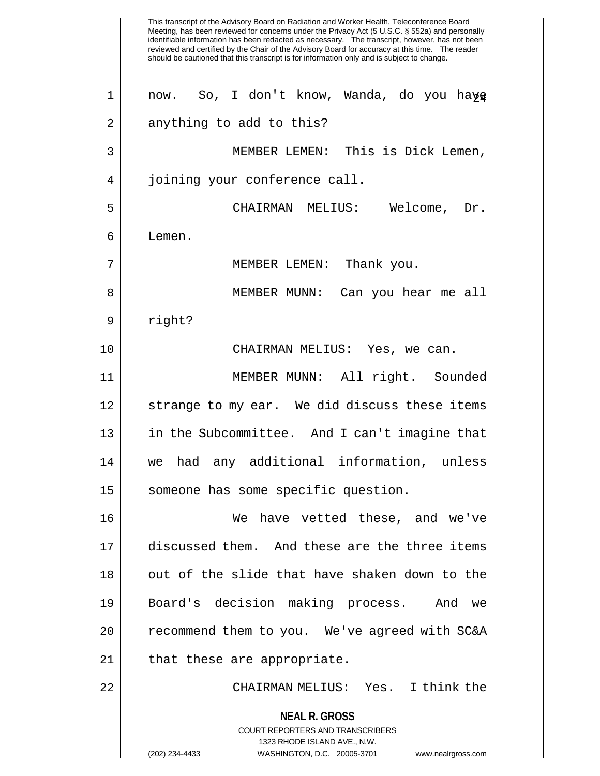This transcript of the Advisory Board on Radiation and Worker Health, Teleconference Board Meeting, has been reviewed for concerns under the Privacy Act (5 U.S.C. § 552a) and personally identifiable information has been redacted as necessary. The transcript, however, has not been reviewed and certified by the Chair of the Advisory Board for accuracy at this time. The reader should be cautioned that this transcript is for information only and is subject to change. **NEAL R. GROSS** COURT REPORTERS AND TRANSCRIBERS 1323 RHODE ISLAND AVE., N.W. (202) 234-4433 WASHINGTON, D.C. 20005-3701 www.nealrgross.com  $1 \parallel$  now. So, I don't know, Wanda, do you hay  $2 \parallel$  anything to add to this? 3 MEMBER LEMEN: This is Dick Lemen, 4 || joining your conference call. 5 CHAIRMAN MELIUS: Welcome, Dr.  $6 \parallel$  Lemen. 7 || MEMBER LEMEN: Thank you. 8 MEMBER MUNN: Can you hear me all 9 | right? 10 CHAIRMAN MELIUS: Yes, we can. 11 MEMBER MUNN: All right. Sounded 12 || strange to my ear. We did discuss these items 13 in the Subcommittee. And I can't imagine that 14 we had any additional information, unless 15 || someone has some specific question. 16 We have vetted these, and we've 17 discussed them. And these are the three items 18 || out of the slide that have shaken down to the 19 Board's decision making process. And we  $20$  | recommend them to you. We've agreed with SC&A 21 || that these are appropriate. 22 CHAIRMAN MELIUS: Yes. I think the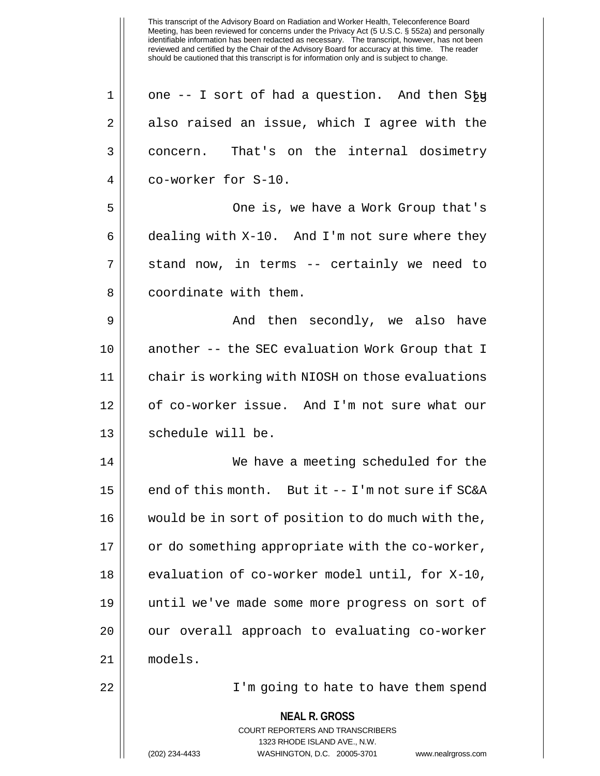**NEAL R. GROSS** COURT REPORTERS AND TRANSCRIBERS 1323 RHODE ISLAND AVE., N.W. (202) 234-4433 WASHINGTON, D.C. 20005-3701 www.nealrgross.com  $1 \parallel$  one -- I sort of had a question. And then S $5\mu$  $2 \parallel$  also raised an issue, which I agree with the 3 concern. That's on the internal dosimetry 4 co-worker for S-10. 5 || One is, we have a Work Group that's  $6 \parallel$  dealing with X-10. And I'm not sure where they  $7 \parallel$  stand now, in terms -- certainly we need to 8 | coordinate with them. 9 And then secondly, we also have 10 || another -- the SEC evaluation Work Group that I 11 chair is working with NIOSH on those evaluations 12 || of co-worker issue. And I'm not sure what our 13 || schedule will be. 14 We have a meeting scheduled for the 15  $\parallel$  end of this month. But it -- I'm not sure if SC&A 16 would be in sort of position to do much with the, 17 || or do something appropriate with the co-worker, 18 || evaluation of co-worker model until, for X-10, 19 until we've made some more progress on sort of 20 || our overall approach to evaluating co-worker 21 models. 22 I'm going to hate to have them spend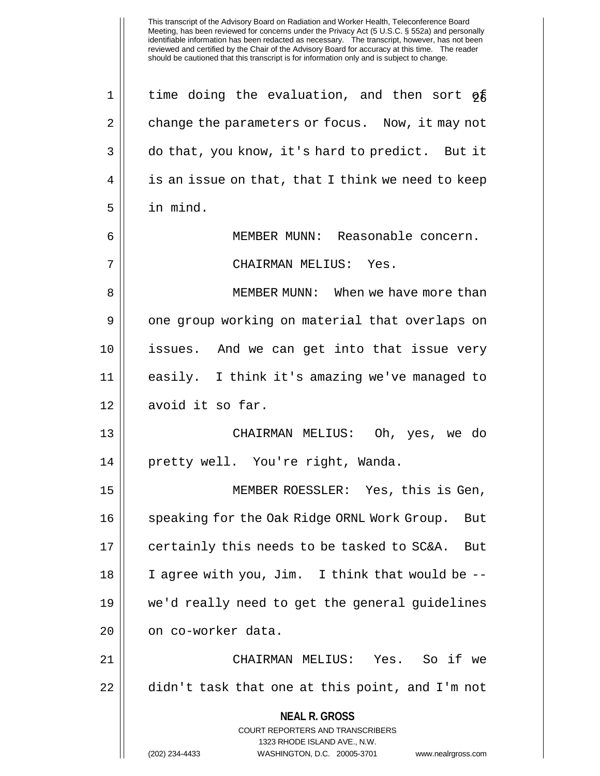**NEAL R. GROSS** COURT REPORTERS AND TRANSCRIBERS 1323 RHODE ISLAND AVE., N.W. (202) 234-4433 WASHINGTON, D.C. 20005-3701 www.nealrgross.com 1 || time doing the evaluation, and then sort  $\sigma$   $\bar{\epsilon}$ 2 change the parameters or focus. Now, it may not 3 do that, you know, it's hard to predict. But it  $4 \parallel$  is an issue on that, that I think we need to keep 5 in mind. 6 MEMBER MUNN: Reasonable concern. 7 CHAIRMAN MELIUS: Yes. 8 || MEMBER MUNN: When we have more than 9 || one group working on material that overlaps on 10 issues. And we can get into that issue very 11 easily. I think it's amazing we've managed to 12 | avoid it so far. 13 CHAIRMAN MELIUS: Oh, yes, we do 14 || pretty well. You're right, Wanda. 15 MEMBER ROESSLER: Yes, this is Gen, 16 || speaking for the Oak Ridge ORNL Work Group. But 17 || certainly this needs to be tasked to SC&A. But 18 I agree with you, Jim. I think that would be -- 19 we'd really need to get the general guidelines 20 | on co-worker data. 21 CHAIRMAN MELIUS: Yes. So if we 22  $\parallel$  didn't task that one at this point, and I'm not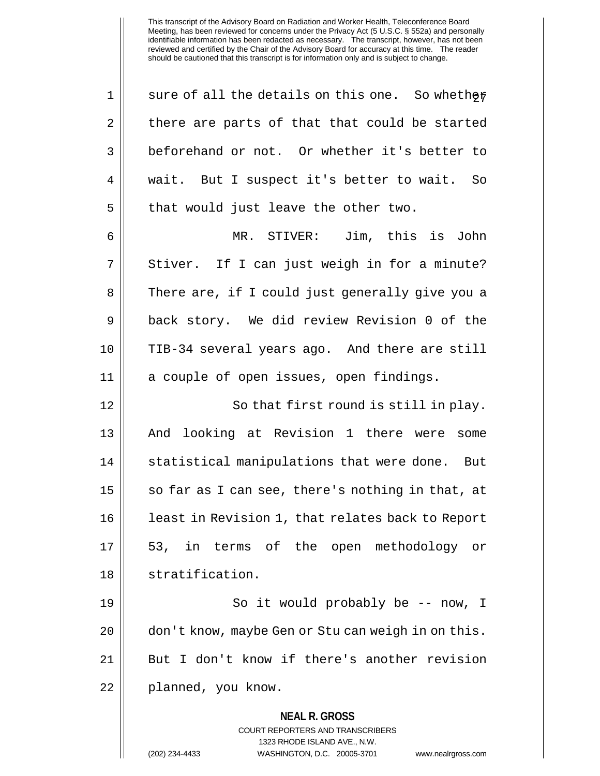**NEAL R. GROSS** COURT REPORTERS AND TRANSCRIBERS 1323 RHODE ISLAND AVE., N.W. 1 || sure of all the details on this one. So whether  $2 \parallel$  there are parts of that that could be started 3 beforehand or not. Or whether it's better to 4 || wait. But I suspect it's better to wait. So  $5 \parallel$  that would just leave the other two. 6 MR. STIVER: Jim, this is John  $7 \parallel$  Stiver. If I can just weigh in for a minute? 8 || There are, if I could just generally give you a 9 back story. We did review Revision 0 of the 10 TIB-34 several years ago. And there are still 11 a couple of open issues, open findings. 12 || So that first round is still in play. 13 And looking at Revision 1 there were some 14 || statistical manipulations that were done. But  $15$  | so far as I can see, there's nothing in that, at 16 || least in Revision 1, that relates back to Report 17 53, in terms of the open methodology or 18 || stratification. 19 || So it would probably be -- now, I 20 | don't know, maybe Gen or Stu can weigh in on this. 21 || But I don't know if there's another revision 22 | planned, you know.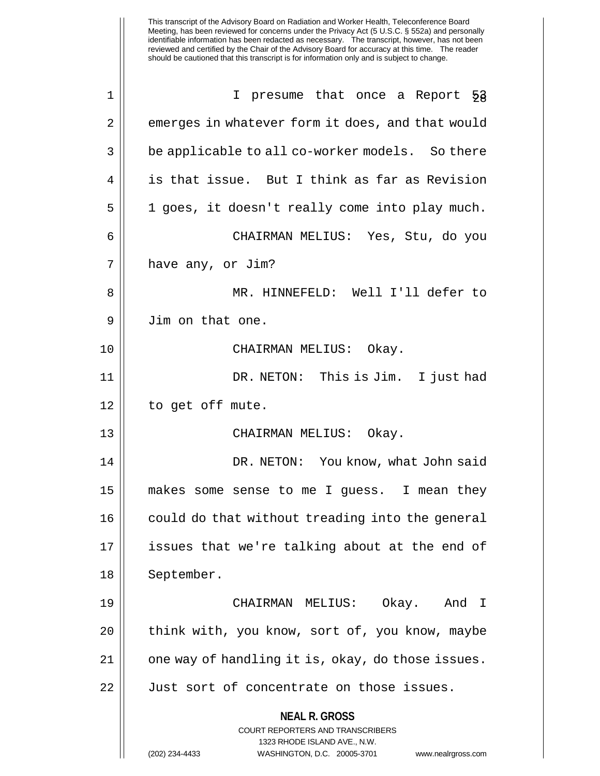|             | This transcript of the Advisory Board on Radiation and Worker Health, Teleconference Board<br>Meeting, has been reviewed for concerns under the Privacy Act (5 U.S.C. § 552a) and personally<br>identifiable information has been redacted as necessary. The transcript, however, has not been<br>reviewed and certified by the Chair of the Advisory Board for accuracy at this time. The reader<br>should be cautioned that this transcript is for information only and is subject to change. |
|-------------|-------------------------------------------------------------------------------------------------------------------------------------------------------------------------------------------------------------------------------------------------------------------------------------------------------------------------------------------------------------------------------------------------------------------------------------------------------------------------------------------------|
| $\mathbf 1$ | I presume that once a Report 53                                                                                                                                                                                                                                                                                                                                                                                                                                                                 |
| 2           | emerges in whatever form it does, and that would                                                                                                                                                                                                                                                                                                                                                                                                                                                |
| 3           | be applicable to all co-worker models. So there                                                                                                                                                                                                                                                                                                                                                                                                                                                 |
| 4           | is that issue. But I think as far as Revision                                                                                                                                                                                                                                                                                                                                                                                                                                                   |
| 5           | 1 goes, it doesn't really come into play much.                                                                                                                                                                                                                                                                                                                                                                                                                                                  |
| 6           | CHAIRMAN MELIUS: Yes, Stu, do you                                                                                                                                                                                                                                                                                                                                                                                                                                                               |
| 7           | have any, or Jim?                                                                                                                                                                                                                                                                                                                                                                                                                                                                               |
| 8           | MR. HINNEFELD: Well I'll defer to                                                                                                                                                                                                                                                                                                                                                                                                                                                               |
| 9           | Jim on that one.                                                                                                                                                                                                                                                                                                                                                                                                                                                                                |
| 10          | CHAIRMAN MELIUS: Okay.                                                                                                                                                                                                                                                                                                                                                                                                                                                                          |
| 11          | DR. NETON: This is Jim.<br>I just had                                                                                                                                                                                                                                                                                                                                                                                                                                                           |
| 12          | to get off mute.                                                                                                                                                                                                                                                                                                                                                                                                                                                                                |
| 13          | CHAIRMAN MELIUS:<br>Okay.                                                                                                                                                                                                                                                                                                                                                                                                                                                                       |
| 14          | DR. NETON: You know, what John said                                                                                                                                                                                                                                                                                                                                                                                                                                                             |
| 15          | makes some sense to me I guess. I mean they                                                                                                                                                                                                                                                                                                                                                                                                                                                     |
| 16          | could do that without treading into the general                                                                                                                                                                                                                                                                                                                                                                                                                                                 |
| 17          | issues that we're talking about at the end of                                                                                                                                                                                                                                                                                                                                                                                                                                                   |
| 18          | September.                                                                                                                                                                                                                                                                                                                                                                                                                                                                                      |
| 19          | CHAIRMAN MELIUS: Okay. And I                                                                                                                                                                                                                                                                                                                                                                                                                                                                    |
| 20          | think with, you know, sort of, you know, maybe                                                                                                                                                                                                                                                                                                                                                                                                                                                  |
| 21          | one way of handling it is, okay, do those issues.                                                                                                                                                                                                                                                                                                                                                                                                                                               |
| 22          | Just sort of concentrate on those issues.                                                                                                                                                                                                                                                                                                                                                                                                                                                       |
|             | <b>NEAL R. GROSS</b><br><b>COURT REPORTERS AND TRANSCRIBERS</b><br>1323 RHODE ISLAND AVE., N.W.<br>(202) 234-4433<br>WASHINGTON, D.C. 20005-3701<br>www.nealrgross.com                                                                                                                                                                                                                                                                                                                          |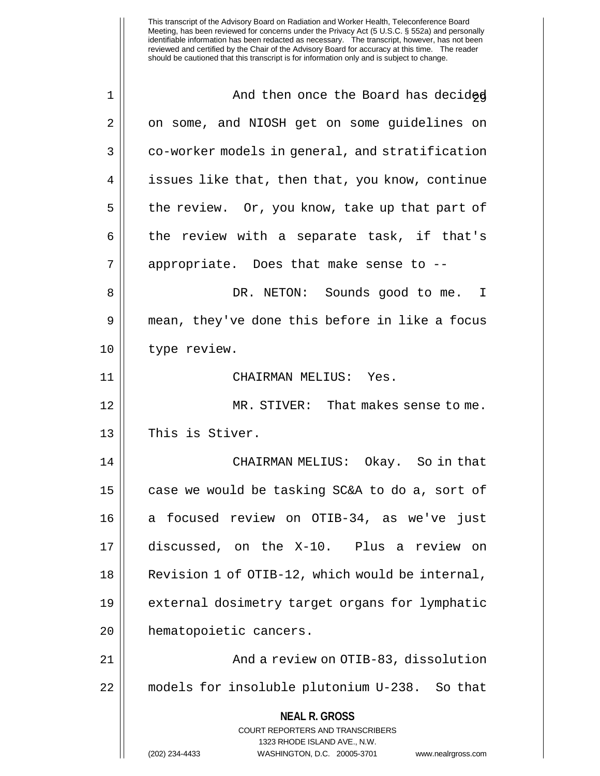| $\mathbf 1$ | And then once the Board has decided                                 |
|-------------|---------------------------------------------------------------------|
| 2           | on some, and NIOSH get on some guidelines on                        |
|             |                                                                     |
| 3           | co-worker models in general, and stratification                     |
| 4           | issues like that, then that, you know, continue                     |
| 5           | the review. Or, you know, take up that part of                      |
| 6           | the review with a separate task, if that's                          |
| 7           | appropriate. Does that make sense to --                             |
| 8           | DR. NETON: Sounds good to me. I                                     |
| 9           | mean, they've done this before in like a focus                      |
| 10          | type review.                                                        |
| 11          | CHAIRMAN MELIUS: Yes.                                               |
| 12          | MR. STIVER: That makes sense to me.                                 |
| 13          | This is Stiver.                                                     |
| 14          | CHAIRMAN MELIUS: Okay. So in that                                   |
| 15          | case we would be tasking SC&A to do a, sort of                      |
| 16          | a focused review on OTIB-34, as we've just                          |
| 17          | discussed, on the X-10. Plus a review on                            |
| 18          | Revision 1 of OTIB-12, which would be internal,                     |
| 19          | external dosimetry target organs for lymphatic                      |
| 20          | hematopoietic cancers.                                              |
| 21          | And a review on OTIB-83, dissolution                                |
| 22          | models for insoluble plutonium U-238. So that                       |
|             | <b>NEAL R. GROSS</b>                                                |
|             | <b>COURT REPORTERS AND TRANSCRIBERS</b>                             |
|             | 1323 RHODE ISLAND AVE., N.W.                                        |
|             | (202) 234-4433<br>WASHINGTON, D.C. 20005-3701<br>www.nealrgross.com |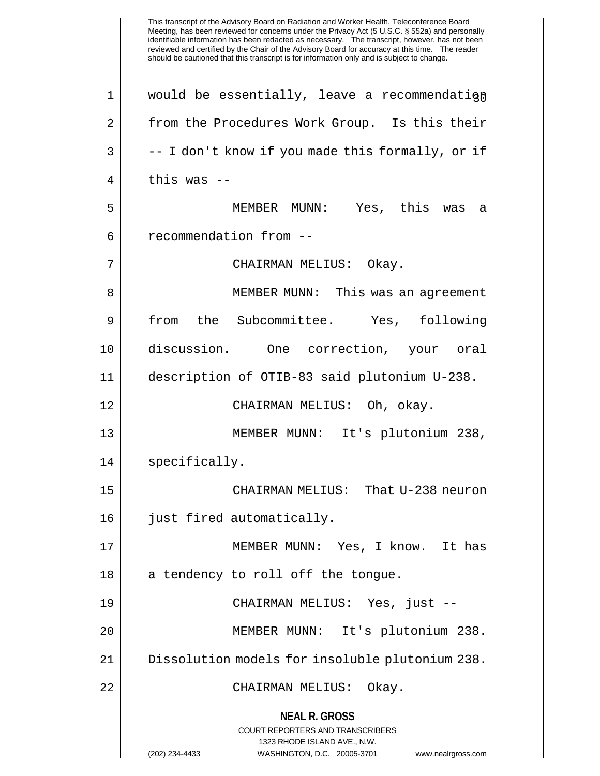This transcript of the Advisory Board on Radiation and Worker Health, Teleconference Board Meeting, has been reviewed for concerns under the Privacy Act (5 U.S.C. § 552a) and personally identifiable information has been redacted as necessary. The transcript, however, has not been reviewed and certified by the Chair of the Advisory Board for accuracy at this time. The reader should be cautioned that this transcript is for information only and is subject to change. **NEAL R. GROSS** COURT REPORTERS AND TRANSCRIBERS 1323 RHODE ISLAND AVE., N.W. (202) 234-4433 WASHINGTON, D.C. 20005-3701 www.nealrgross.com  $1 \parallel$  would be essentially, leave a recommendation 2 | from the Procedures Work Group. Is this their  $3 \parallel$  -- I don't know if you made this formally, or if 4 || this was --5 MEMBER MUNN: Yes, this was a 6 | recommendation from --7 CHAIRMAN MELIUS: Okay. 8 MEMBER MUNN: This was an agreement 9 from the Subcommittee. Yes, following 10 discussion. One correction, your oral 11 description of OTIB-83 said plutonium U-238. 12 CHAIRMAN MELIUS: Oh, okay. 13 || MEMBER MUNN: It's plutonium 238, 14 | specifically. 15 CHAIRMAN MELIUS: That U-238 neuron 16 just fired automatically. 17 MEMBER MUNN: Yes, I know. It has 18 || a tendency to roll off the tongue. 19 CHAIRMAN MELIUS: Yes, just -- 20 MEMBER MUNN: It's plutonium 238. 21 Dissolution models for insoluble plutonium 238. 22 CHAIRMAN MELIUS: Okay.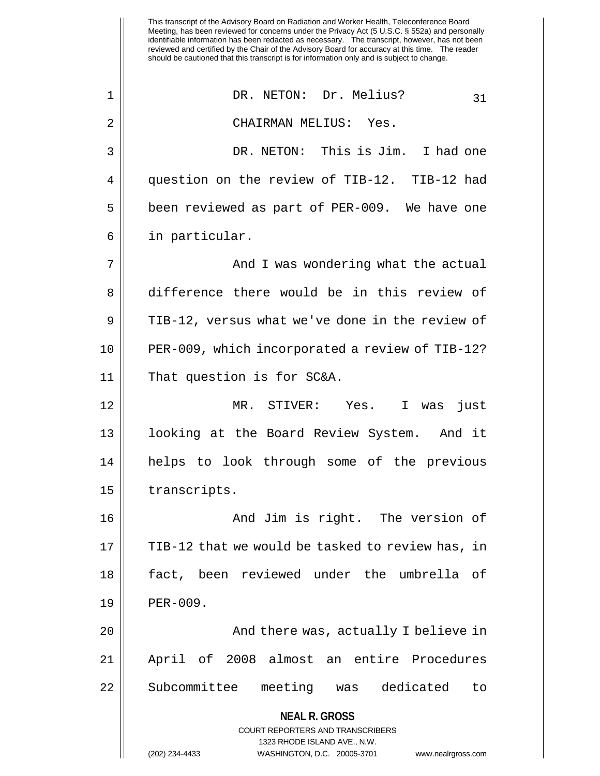This transcript of the Advisory Board on Radiation and Worker Health, Teleconference Board Meeting, has been reviewed for concerns under the Privacy Act (5 U.S.C. § 552a) and personally identifiable information has been redacted as necessary. The transcript, however, has not been reviewed and certified by the Chair of the Advisory Board for accuracy at this time. The reader should be cautioned that this transcript is for information only and is subject to change. **NEAL R. GROSS** COURT REPORTERS AND TRANSCRIBERS 1323 RHODE ISLAND AVE., N.W. (202) 234-4433 WASHINGTON, D.C. 20005-3701 www.nealrgross.com 1 || DR. NETON: Dr. Melius? 31 2 CHAIRMAN MELIUS: Yes. 3 DR. NETON: This is Jim. I had one 4 || question on the review of TIB-12. TIB-12 had 5 || been reviewed as part of PER-009. We have one 6 in particular. 7 | The South Character and I was wondering what the actual 8 difference there would be in this review of 9 | TIB-12, versus what we've done in the review of 10 PER-009, which incorporated a review of TIB-12? 11 That question is for SC&A. 12 MR. STIVER: Yes. I was just 13 looking at the Board Review System. And it 14 helps to look through some of the previous 15 | transcripts. 16 And Jim is right. The version of 17 || TIB-12 that we would be tasked to review has, in 18 fact, been reviewed under the umbrella of 19 | PER-009. 20 And there was, actually I believe in 21 April of 2008 almost an entire Procedures 22 || Subcommittee meeting was dedicated to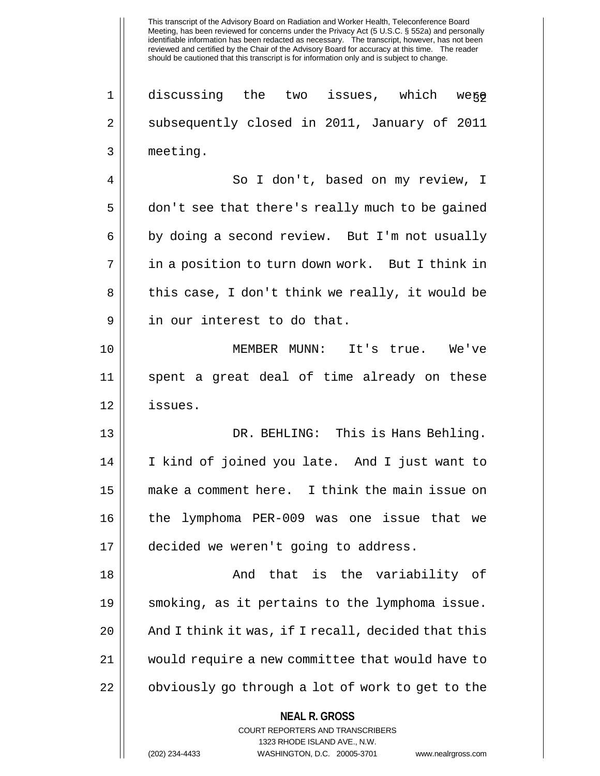1 || discussing the two issues, which were 2 Subsequently closed in 2011, January of 2011 3 meeting.

4 So I don't, based on my review, I 5 don't see that there's really much to be gained  $6 \parallel$  by doing a second review. But I'm not usually 7 || in a position to turn down work. But I think in 8 || this case, I don't think we really, it would be 9 || in our interest to do that.

10 MEMBER MUNN: It's true. We've 11 spent a great deal of time already on these 12 issues.

 DR. BEHLING: This is Hans Behling. I kind of joined you late. And I just want to make a comment here. I think the main issue on the lymphoma PER-009 was one issue that we decided we weren't going to address.

 And that is the variability of smoking, as it pertains to the lymphoma issue. |  $\blacksquare$  And I think it was, if I recall, decided that this would require a new committee that would have to 22 | obviously go through a lot of work to get to the

#### **NEAL R. GROSS**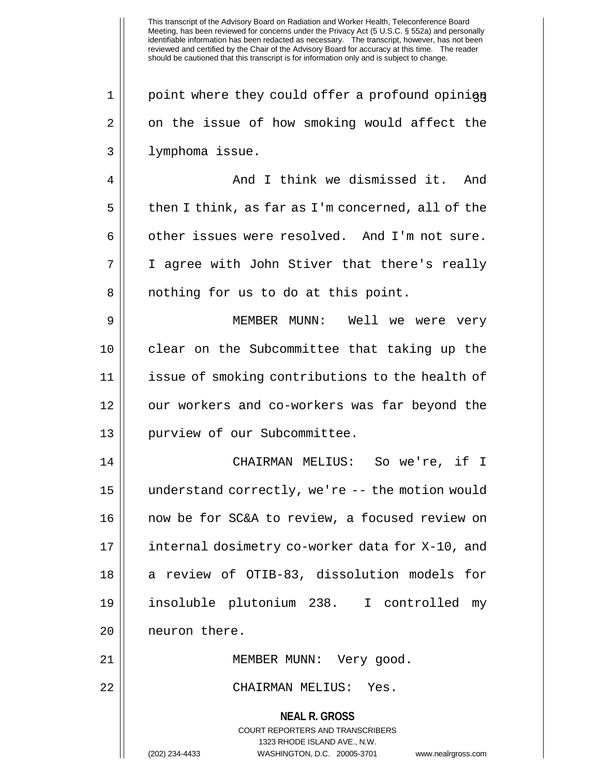$1 \parallel$  point where they could offer a profound opinique  $2 \parallel$  on the issue of how smoking would affect the 3 lymphoma issue.

4 And I think we dismissed it. And  $5 \parallel$  then I think, as far as I'm concerned, all of the  $6 \parallel$  other issues were resolved. And I'm not sure. 7 I agree with John Stiver that there's really 8 || nothing for us to do at this point.

 MEMBER MUNN: Well we were very clear on the Subcommittee that taking up the issue of smoking contributions to the health of 12 || our workers and co-workers was far beyond the purview of our Subcommittee.

 CHAIRMAN MELIUS: So we're, if I understand correctly, we're -- the motion would now be for SC&A to review, a focused review on internal dosimetry co-worker data for X-10, and a review of OTIB-83, dissolution models for insoluble plutonium 238. I controlled my 20 | neuron there.

21 MEMBER MUNN: Very good.

22 CHAIRMAN MELIUS: Yes.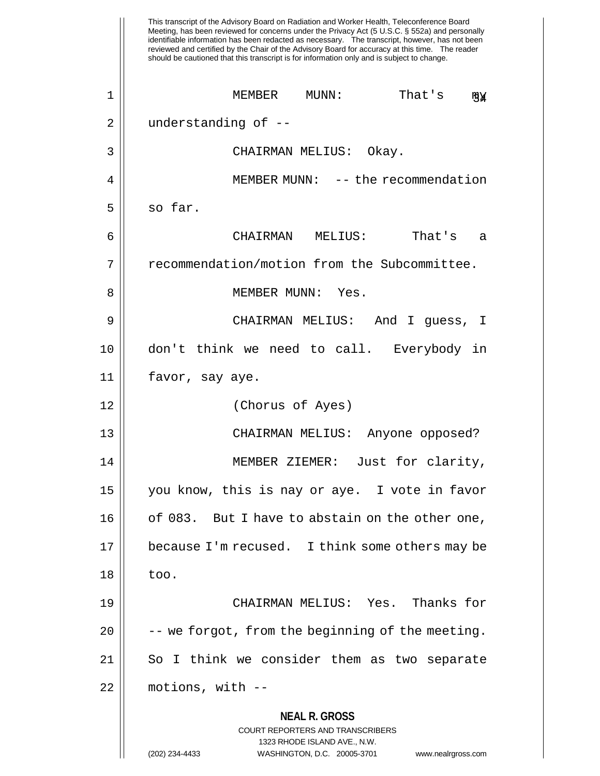|    | This transcript of the Advisory Board on Radiation and Worker Health, Teleconference Board<br>Meeting, has been reviewed for concerns under the Privacy Act (5 U.S.C. § 552a) and personally<br>identifiable information has been redacted as necessary. The transcript, however, has not been<br>reviewed and certified by the Chair of the Advisory Board for accuracy at this time. The reader<br>should be cautioned that this transcript is for information only and is subject to change. |
|----|-------------------------------------------------------------------------------------------------------------------------------------------------------------------------------------------------------------------------------------------------------------------------------------------------------------------------------------------------------------------------------------------------------------------------------------------------------------------------------------------------|
| 1  | That's<br>MEMBER<br>MUNN :<br>щĀ                                                                                                                                                                                                                                                                                                                                                                                                                                                                |
| 2  | understanding of --                                                                                                                                                                                                                                                                                                                                                                                                                                                                             |
| 3  | CHAIRMAN MELIUS: Okay.                                                                                                                                                                                                                                                                                                                                                                                                                                                                          |
| 4  | MEMBER MUNN: -- the recommendation                                                                                                                                                                                                                                                                                                                                                                                                                                                              |
| 5  | so far.                                                                                                                                                                                                                                                                                                                                                                                                                                                                                         |
| 6  | That's<br>CHAIRMAN<br>MELIUS:<br>a                                                                                                                                                                                                                                                                                                                                                                                                                                                              |
| 7  | recommendation/motion from the Subcommittee.                                                                                                                                                                                                                                                                                                                                                                                                                                                    |
| 8  | MEMBER MUNN:<br>Yes.                                                                                                                                                                                                                                                                                                                                                                                                                                                                            |
| 9  | CHAIRMAN MELIUS: And I guess, I                                                                                                                                                                                                                                                                                                                                                                                                                                                                 |
| 10 | don't think we need to call. Everybody in                                                                                                                                                                                                                                                                                                                                                                                                                                                       |
| 11 | favor, say aye.                                                                                                                                                                                                                                                                                                                                                                                                                                                                                 |
| 12 | (Chorus of Ayes)                                                                                                                                                                                                                                                                                                                                                                                                                                                                                |
| 13 | CHAIRMAN MELIUS:<br>Anyone opposed?                                                                                                                                                                                                                                                                                                                                                                                                                                                             |
| 14 | MEMBER ZIEMER: Just for clarity,                                                                                                                                                                                                                                                                                                                                                                                                                                                                |
| 15 | you know, this is nay or aye. I vote in favor                                                                                                                                                                                                                                                                                                                                                                                                                                                   |
| 16 | of 083. But I have to abstain on the other one,                                                                                                                                                                                                                                                                                                                                                                                                                                                 |
| 17 | because I'm recused. I think some others may be                                                                                                                                                                                                                                                                                                                                                                                                                                                 |
| 18 | too.                                                                                                                                                                                                                                                                                                                                                                                                                                                                                            |
| 19 | CHAIRMAN MELIUS: Yes. Thanks for                                                                                                                                                                                                                                                                                                                                                                                                                                                                |
| 20 | -- we forgot, from the beginning of the meeting.                                                                                                                                                                                                                                                                                                                                                                                                                                                |
| 21 | So I think we consider them as two separate                                                                                                                                                                                                                                                                                                                                                                                                                                                     |
| 22 | motions, with --                                                                                                                                                                                                                                                                                                                                                                                                                                                                                |
|    | <b>NEAL R. GROSS</b><br><b>COURT REPORTERS AND TRANSCRIBERS</b><br>1323 RHODE ISLAND AVE., N.W.<br>(202) 234-4433<br>WASHINGTON, D.C. 20005-3701<br>www.nealrgross.com                                                                                                                                                                                                                                                                                                                          |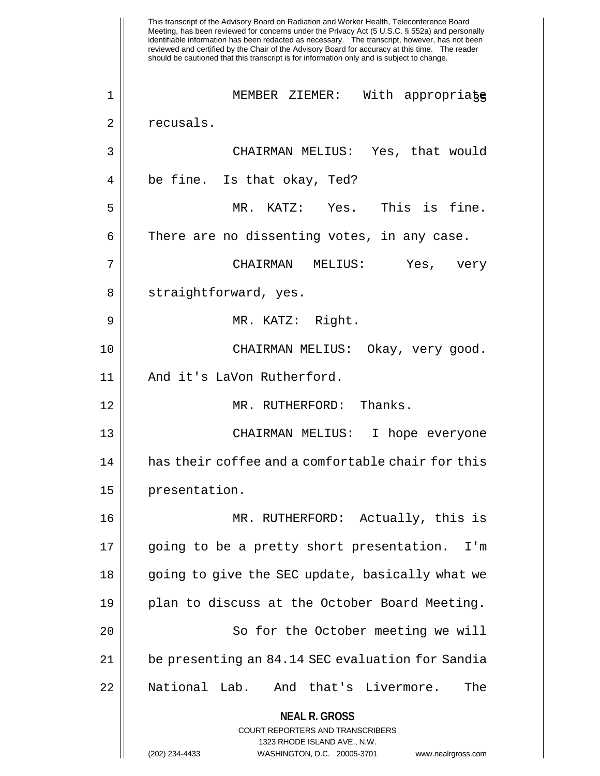This transcript of the Advisory Board on Radiation and Worker Health, Teleconference Board Meeting, has been reviewed for concerns under the Privacy Act (5 U.S.C. § 552a) and personally identifiable information has been redacted as necessary. The transcript, however, has not been reviewed and certified by the Chair of the Advisory Board for accuracy at this time. The reader should be cautioned that this transcript is for information only and is subject to change. **NEAL R. GROSS** COURT REPORTERS AND TRANSCRIBERS 1323 RHODE ISLAND AVE., N.W. (202) 234-4433 WASHINGTON, D.C. 20005-3701 www.nealrgross.com 1 MEMBER ZIEMER: With appropriate 35 2 | recusals. 3 CHAIRMAN MELIUS: Yes, that would  $4 \parallel$  be fine. Is that okay, Ted? 5 MR. KATZ: Yes. This is fine.  $6 \parallel$  There are no dissenting votes, in any case. 7 CHAIRMAN MELIUS: Yes, very 8 || straightforward, yes. 9 MR. KATZ: Right. 10 CHAIRMAN MELIUS: Okay, very good. 11 || And it's LaVon Rutherford. 12 MR. RUTHERFORD: Thanks. 13 CHAIRMAN MELIUS: I hope everyone 14 || has their coffee and a comfortable chair for this 15 | presentation. 16 MR. RUTHERFORD: Actually, this is 17 || going to be a pretty short presentation. I'm 18 || going to give the SEC update, basically what we 19 || plan to discuss at the October Board Meeting. 20 || So for the October meeting we will 21 be presenting an 84.14 SEC evaluation for Sandia 22 National Lab. And that's Livermore. The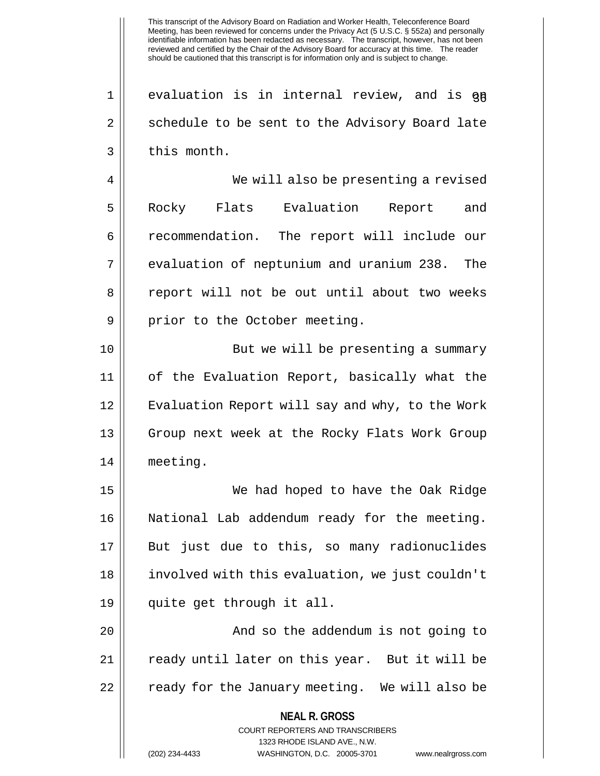$1$  evaluation is in internal review, and is  $q\bar{q}$ 2 | schedule to be sent to the Advisory Board late  $3 \parallel$  this month.

4 We will also be presenting a revised 5 || Rocky Flats Evaluation Report and 6 | recommendation. The report will include our 7 || evaluation of neptunium and uranium 238. The 8 || report will not be out until about two weeks 9 || prior to the October meeting.

10 || But we will be presenting a summary 11 of the Evaluation Report, basically what the 12 || Evaluation Report will say and why, to the Work 13 || Group next week at the Rocky Flats Work Group 14 meeting.

 We had hoped to have the Oak Ridge National Lab addendum ready for the meeting. But just due to this, so many radionuclides involved with this evaluation, we just couldn't quite get through it all.

20 || The addendum is not going to 21 || ready until later on this year. But it will be 22 || ready for the January meeting. We will also be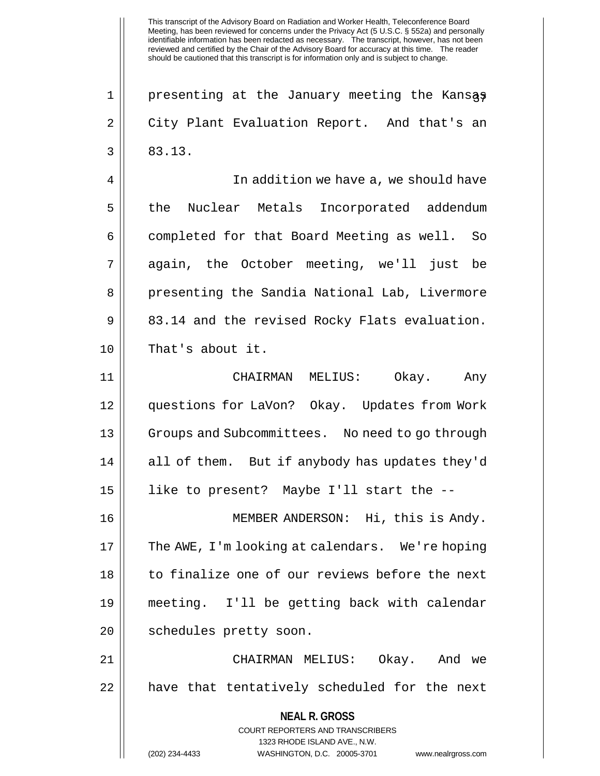1 || presenting at the January meeting the Kansas 2 City Plant Evaluation Report. And that's an  $3 \parallel 83.13$ . 4 In addition we have a, we should have 5 || the Nuclear Metals Incorporated addendum 6 | completed for that Board Meeting as well. So 7 again, the October meeting, we'll just be 8 || presenting the Sandia National Lab, Livermore  $9 \parallel 83.14$  and the revised Rocky Flats evaluation. 10 || That's about it. 11 CHAIRMAN MELIUS: Okay. Any 12 questions for LaVon? Okay. Updates from Work 13 || Groups and Subcommittees. No need to go through

14 || all of them. But if anybody has updates they'd 15 like to present? Maybe I'll start the --

16 MEMBER ANDERSON: Hi, this is Andy. 17 || The AWE, I'm looking at calendars. We're hoping 18 || to finalize one of our reviews before the next 19 meeting. I'll be getting back with calendar 20 || schedules pretty soon.

21 CHAIRMAN MELIUS: Okay. And we  $22$  || have that tentatively scheduled for the next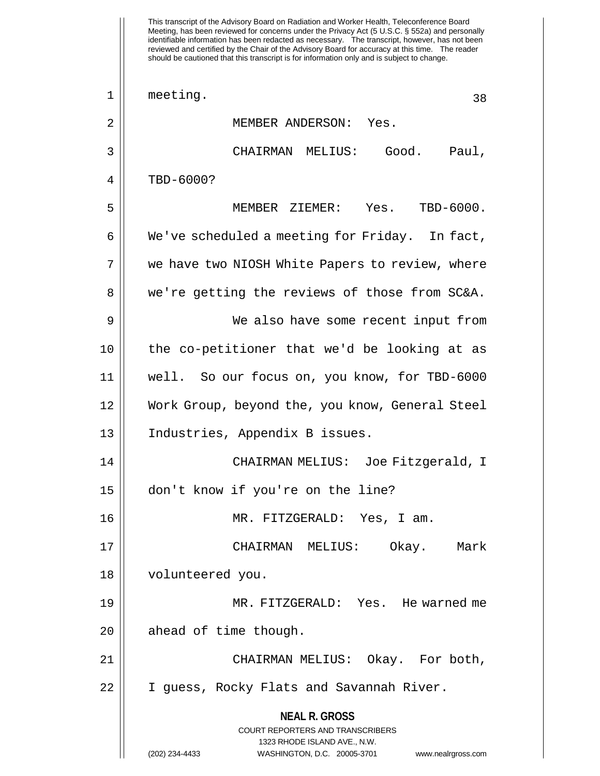This transcript of the Advisory Board on Radiation and Worker Health, Teleconference Board Meeting, has been reviewed for concerns under the Privacy Act (5 U.S.C. § 552a) and personally identifiable information has been redacted as necessary. The transcript, however, has not been reviewed and certified by the Chair of the Advisory Board for accuracy at this time. The reader should be cautioned that this transcript is for information only and is subject to change. **NEAL R. GROSS** COURT REPORTERS AND TRANSCRIBERS 1323 RHODE ISLAND AVE., N.W. (202) 234-4433 WASHINGTON, D.C. 20005-3701 www.nealrgross.com  $\begin{array}{ccc} 1 & \text{meeting.} \end{array}$ 2 MEMBER ANDERSON: Yes. 3 CHAIRMAN MELIUS: Good. Paul, 4 || TBD-6000? 5 MEMBER ZIEMER: Yes. TBD-6000.  $6 \parallel$  We've scheduled a meeting for Friday. In fact, 7 || we have two NIOSH White Papers to review, where 8 we're getting the reviews of those from SC&A. 9 We also have some recent input from 10 || the co-petitioner that we'd be looking at as 11 well. So our focus on, you know, for TBD-6000 12 Work Group, beyond the, you know, General Steel 13 Industries, Appendix B issues. 14 CHAIRMAN MELIUS: Joe Fitzgerald, I 15 don't know if you're on the line? 16 MR. FITZGERALD: Yes, I am. 17 CHAIRMAN MELIUS: Okay. Mark 18 volunteered you. 19 MR. FITZGERALD: Yes. He warned me  $20$  | ahead of time though. 21 CHAIRMAN MELIUS: Okay. For both, 22 I guess, Rocky Flats and Savannah River.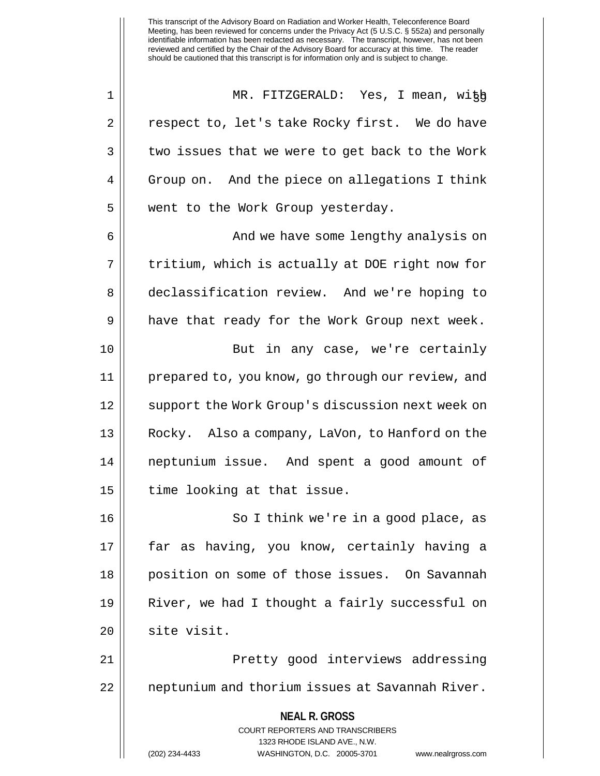1 MR. FITZGERALD: Yes, I mean, with 39 2 | Pespect to, let's take Rocky first. We do have  $3 \parallel$  two issues that we were to get back to the Work 4 | Group on. And the piece on allegations I think 5 || went to the Work Group yesterday.

6 And we have some lengthy analysis on  $7 ||$  tritium, which is actually at DOE right now for 8 declassification review. And we're hoping to  $9 \parallel$  have that ready for the Work Group next week. 10 || But in any case, we're certainly 11 prepared to, you know, go through our review, and 12 || support the Work Group's discussion next week on 13 Rocky. Also a company, LaVon, to Hanford on the 14 neptunium issue. And spent a good amount of  $15$  || time looking at that issue.

16 || So I think we're in a good place, as 17 far as having, you know, certainly having a 18 position on some of those issues. On Savannah 19 River, we had I thought a fairly successful on 20 || site visit.

21 Pretty good interviews addressing 22 || neptunium and thorium issues at Savannah River.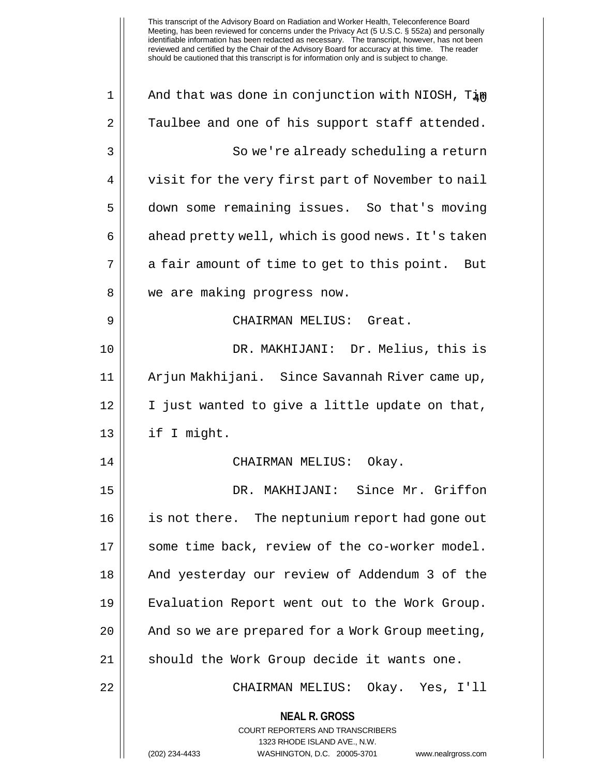**NEAL R. GROSS** COURT REPORTERS AND TRANSCRIBERS 1323 RHODE ISLAND AVE., N.W. (202) 234-4433 WASHINGTON, D.C. 20005-3701 www.nealrgross.com 1 || And that was done in conjunction with NIOSH,  $T_{4\text{N}}$  $2 \parallel$  Taulbee and one of his support staff attended. 3 So we're already scheduling a return 4 | visit for the very first part of November to nail 5 down some remaining issues. So that's moving  $6 \parallel$  ahead pretty well, which is good news. It's taken  $7 \parallel$  a fair amount of time to get to this point. But 8 || we are making progress now. 9 CHAIRMAN MELIUS: Great. 10 DR. MAKHIJANI: Dr. Melius, this is 11 Arjun Makhijani. Since Savannah River came up, 12 I just wanted to give a little update on that, 13 || if I might. 14 CHAIRMAN MELIUS: Okay. 15 DR. MAKHIJANI: Since Mr. Griffon 16 || is not there. The neptunium report had gone out 17 || some time back, review of the co-worker model. 18 And yesterday our review of Addendum 3 of the 19 Evaluation Report went out to the Work Group. 20 || And so we are prepared for a Work Group meeting, 21 || should the Work Group decide it wants one. 22 CHAIRMAN MELIUS: Okay. Yes, I'll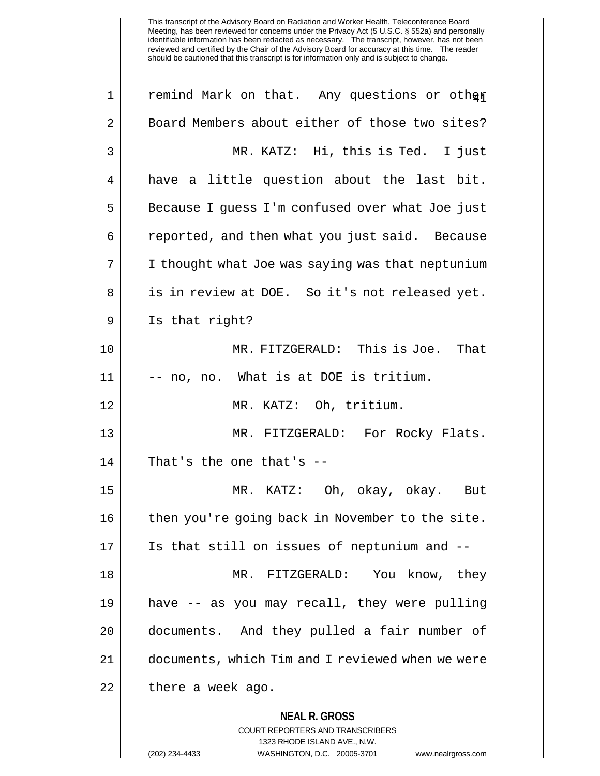| $\mathbf 1$ | remind Mark on that. Any questions or other                                                                                                                            |
|-------------|------------------------------------------------------------------------------------------------------------------------------------------------------------------------|
| 2           | Board Members about either of those two sites?                                                                                                                         |
| 3           | MR. KATZ: Hi, this is Ted. I just                                                                                                                                      |
| 4           | have a little question about the last bit.                                                                                                                             |
| 5           | Because I guess I'm confused over what Joe just                                                                                                                        |
| 6           | reported, and then what you just said. Because                                                                                                                         |
| 7           | I thought what Joe was saying was that neptunium                                                                                                                       |
| 8           | is in review at DOE. So it's not released yet.                                                                                                                         |
| 9           | Is that right?                                                                                                                                                         |
| 10          | MR. FITZGERALD: This is Joe. That                                                                                                                                      |
| 11          | -- no, no. What is at DOE is tritium.                                                                                                                                  |
| 12          | MR. KATZ: Oh, tritium.                                                                                                                                                 |
| 13          | MR. FITZGERALD: For Rocky Flats.                                                                                                                                       |
| 14          | That's the one that's --                                                                                                                                               |
| 15          | MR. KATZ: Oh, okay, okay. But                                                                                                                                          |
| 16          | then you're going back in November to the site.                                                                                                                        |
| 17          | Is that still on issues of neptunium and --                                                                                                                            |
| 18          | MR. FITZGERALD:<br>You know, they                                                                                                                                      |
| 19          | have -- as you may recall, they were pulling                                                                                                                           |
| 20          | documents. And they pulled a fair number of                                                                                                                            |
| 21          | documents, which Tim and I reviewed when we were                                                                                                                       |
| 22          | there a week ago.                                                                                                                                                      |
|             | <b>NEAL R. GROSS</b><br><b>COURT REPORTERS AND TRANSCRIBERS</b><br>1323 RHODE ISLAND AVE., N.W.<br>(202) 234-4433<br>WASHINGTON, D.C. 20005-3701<br>www.nealrgross.com |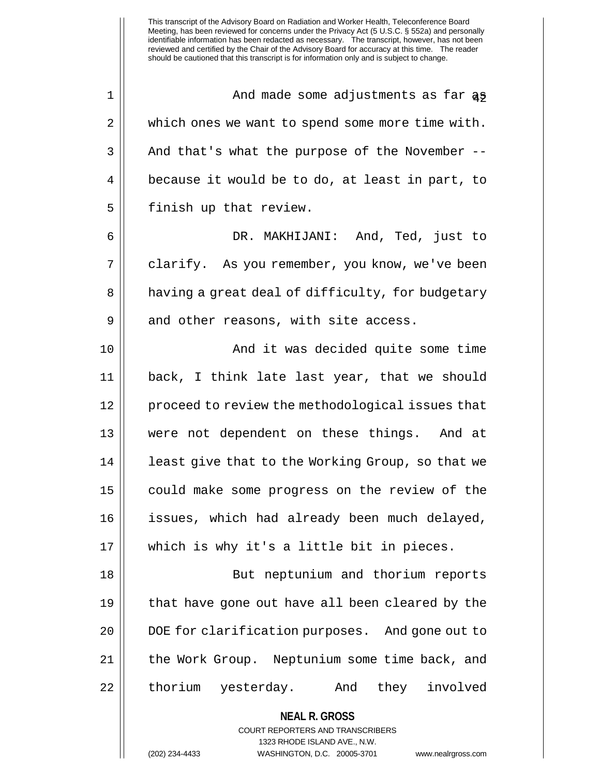$1 \parallel$  and made some adjustments as far as 2 || which ones we want to spend some more time with.  $3 \parallel$  And that's what the purpose of the November -- $4 \parallel$  because it would be to do, at least in part, to  $5$  | finish up that review.

6 DR. MAKHIJANI: And, Ted, just to 7 | clarify. As you remember, you know, we've been 8 || having a great deal of difficulty, for budgetary  $9 \parallel$  and other reasons, with site access.

10 || The South Character And it was decided quite some time back, I think late last year, that we should 12 || proceed to review the methodological issues that were not dependent on these things. And at 14 || least give that to the Working Group, so that we could make some progress on the review of the issues, which had already been much delayed, which is why it's a little bit in pieces.

18 But neptunium and thorium reports 19 that have gone out have all been cleared by the 20 || DOE for clarification purposes. And gone out to 21 | the Work Group. Neptunium some time back, and 22 || thorium yesterday. And they involved

**NEAL R. GROSS**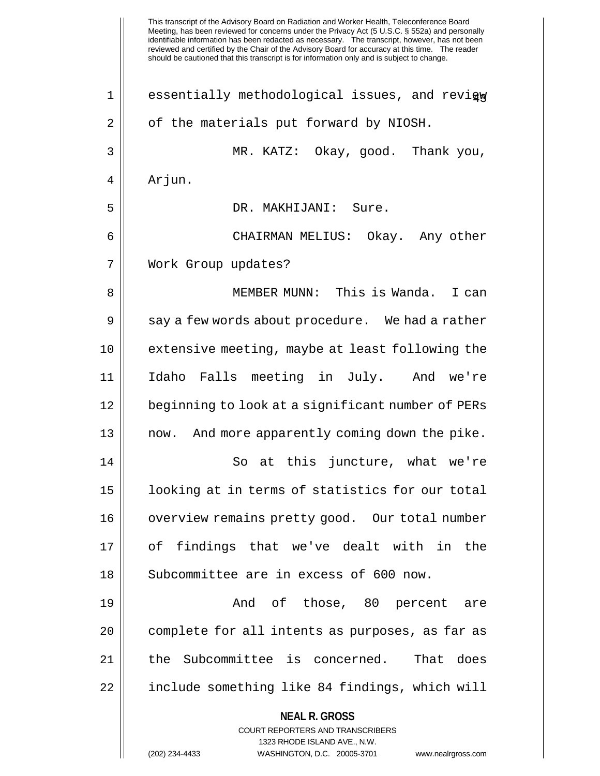|             | This transcript of the Advisory Board on Radiation and Worker Health, Teleconference Board<br>Meeting, has been reviewed for concerns under the Privacy Act (5 U.S.C. § 552a) and personally<br>identifiable information has been redacted as necessary. The transcript, however, has not been<br>reviewed and certified by the Chair of the Advisory Board for accuracy at this time. The reader<br>should be cautioned that this transcript is for information only and is subject to change. |
|-------------|-------------------------------------------------------------------------------------------------------------------------------------------------------------------------------------------------------------------------------------------------------------------------------------------------------------------------------------------------------------------------------------------------------------------------------------------------------------------------------------------------|
| $\mathbf 1$ | essentially methodological issues, and revigw                                                                                                                                                                                                                                                                                                                                                                                                                                                   |
| 2           | of the materials put forward by NIOSH.                                                                                                                                                                                                                                                                                                                                                                                                                                                          |
| 3           | MR. KATZ: Okay, good. Thank you,                                                                                                                                                                                                                                                                                                                                                                                                                                                                |
| 4           | Arjun.                                                                                                                                                                                                                                                                                                                                                                                                                                                                                          |
| 5           | DR. MAKHIJANI: Sure.                                                                                                                                                                                                                                                                                                                                                                                                                                                                            |
| 6           | CHAIRMAN MELIUS: Okay. Any other                                                                                                                                                                                                                                                                                                                                                                                                                                                                |
| 7           | Work Group updates?                                                                                                                                                                                                                                                                                                                                                                                                                                                                             |
| 8           | MEMBER MUNN: This is Wanda.<br>I can                                                                                                                                                                                                                                                                                                                                                                                                                                                            |
| 9           | say a few words about procedure. We had a rather                                                                                                                                                                                                                                                                                                                                                                                                                                                |
| 10          | extensive meeting, maybe at least following the                                                                                                                                                                                                                                                                                                                                                                                                                                                 |
| 11          | Idaho Falls meeting in July. And we're                                                                                                                                                                                                                                                                                                                                                                                                                                                          |
| 12          | beginning to look at a significant number of PERs                                                                                                                                                                                                                                                                                                                                                                                                                                               |
| 13          | And more apparently coming down the pike.<br>now.                                                                                                                                                                                                                                                                                                                                                                                                                                               |
| 14          | So at this juncture, what we're                                                                                                                                                                                                                                                                                                                                                                                                                                                                 |
| 15          | looking at in terms of statistics for our total                                                                                                                                                                                                                                                                                                                                                                                                                                                 |
| 16          | overview remains pretty good. Our total number                                                                                                                                                                                                                                                                                                                                                                                                                                                  |
| 17          | of findings that we've dealt with in the                                                                                                                                                                                                                                                                                                                                                                                                                                                        |
| 18          | Subcommittee are in excess of 600 now.                                                                                                                                                                                                                                                                                                                                                                                                                                                          |
| 19          | And of those, 80 percent are                                                                                                                                                                                                                                                                                                                                                                                                                                                                    |
| 20          | complete for all intents as purposes, as far as                                                                                                                                                                                                                                                                                                                                                                                                                                                 |
| 21          | the Subcommittee is concerned. That does                                                                                                                                                                                                                                                                                                                                                                                                                                                        |
| 22          | include something like 84 findings, which will                                                                                                                                                                                                                                                                                                                                                                                                                                                  |
|             | <b>NEAL R. GROSS</b><br><b>COURT REPORTERS AND TRANSCRIBERS</b><br>1323 RHODE ISLAND AVE., N.W.<br>(202) 234-4433<br>WASHINGTON, D.C. 20005-3701<br>www.nealrgross.com                                                                                                                                                                                                                                                                                                                          |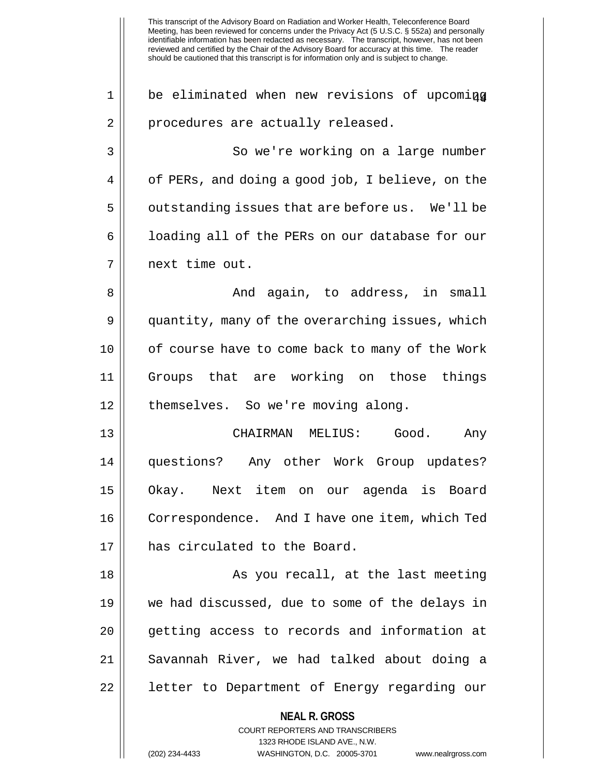This transcript of the Advisory Board on Radiation and Worker Health, Teleconference Board Meeting, has been reviewed for concerns under the Privacy Act (5 U.S.C. § 552a) and personally identifiable information has been redacted as necessary. The transcript, however, has not been reviewed and certified by the Chair of the Advisory Board for accuracy at this time. The reader should be cautioned that this transcript is for information only and is subject to change. **NEAL R. GROSS** COURT REPORTERS AND TRANSCRIBERS 1323 RHODE ISLAND AVE., N.W.  $1 \parallel$  be eliminated when new revisions of upcoming 2 || procedures are actually released. 3 So we're working on a large number  $4 \parallel$  of PERs, and doing a good job, I believe, on the  $5 \parallel$  outstanding issues that are before us. We'll be 6 | | loading all of the PERs on our database for our 7 next time out. 8 And again, to address, in small 9 | quantity, many of the overarching issues, which 10 || of course have to come back to many of the Work 11 Groups that are working on those things 12 | themselves. So we're moving along. 13 CHAIRMAN MELIUS: Good. Any 14 questions? Any other Work Group updates? 15 Okay. Next item on our agenda is Board 16 Correspondence. And I have one item, which Ted 17 H has circulated to the Board. 18 || As you recall, at the last meeting 19 we had discussed, due to some of the delays in 20 || getting access to records and information at 21 Savannah River, we had talked about doing a 22 || letter to Department of Energy regarding our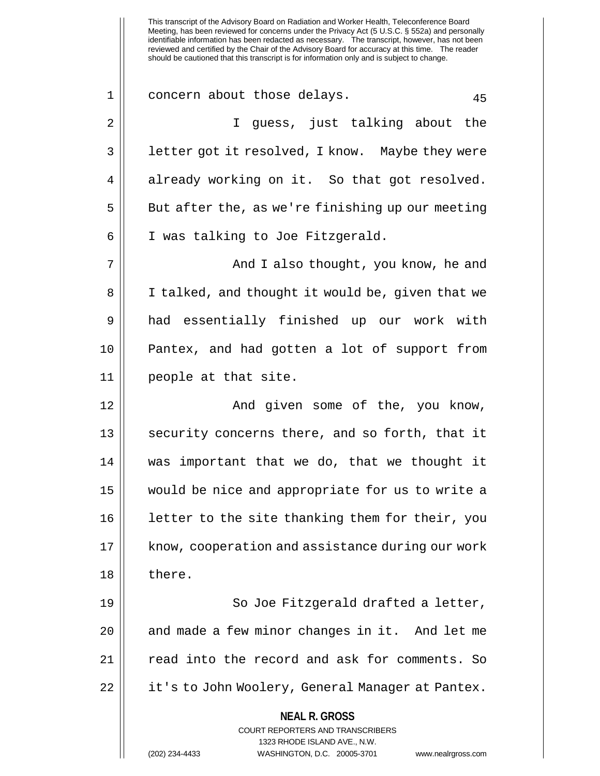Meeting, has been reviewed for concerns under the Privacy Act (5 U.S.C. § 552a) and personally identifiable information has been redacted as necessary. The transcript, however, has not been reviewed and certified by the Chair of the Advisory Board for accuracy at this time. The reader should be cautioned that this transcript is for information only and is subject to change. **NEAL R. GROSS** COURT REPORTERS AND TRANSCRIBERS 1323 RHODE ISLAND AVE., N.W. 1 concern about those delays. 45 2 || I guess, just talking about the 3 || letter got it resolved, I know. Maybe they were  $4 \parallel$  already working on it. So that got resolved.  $5 \parallel$  But after the, as we're finishing up our meeting 6 | I was talking to Joe Fitzgerald. 7 And I also thought, you know, he and 8 || I talked, and thought it would be, given that we 9 had essentially finished up our work with 10 Pantex, and had gotten a lot of support from 11 people at that site. 12 And given some of the, you know, 13 || security concerns there, and so forth, that it 14 was important that we do, that we thought it 15 would be nice and appropriate for us to write a 16 || letter to the site thanking them for their, you 17 || know, cooperation and assistance during our work 18 || there. 19 || So Joe Fitzgerald drafted a letter, 20 || and made a few minor changes in it. And let me 21 | Tead into the record and ask for comments. So 22 || it's to John Woolery, General Manager at Pantex.

This transcript of the Advisory Board on Radiation and Worker Health, Teleconference Board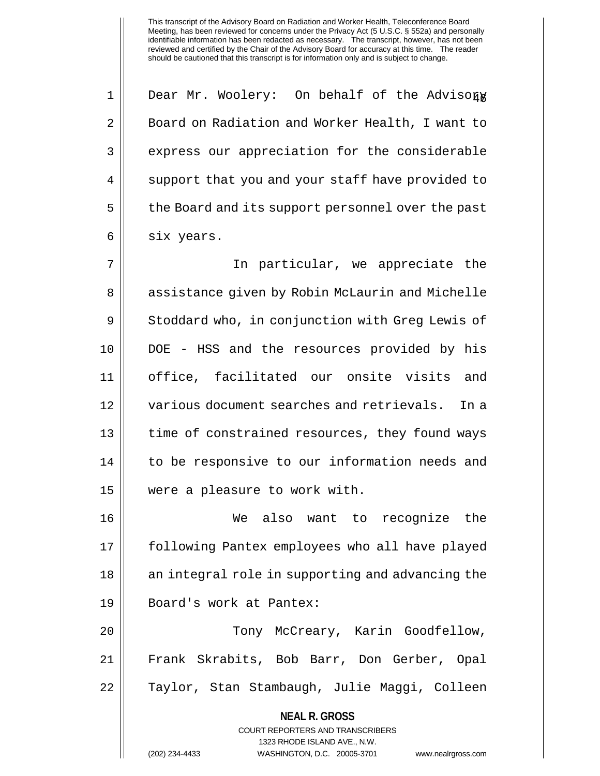$1 \parallel$  Dear Mr. Woolery: On behalf of the Advisory 2 | Board on Radiation and Worker Health, I want to 3 || express our appreciation for the considerable 4 || support that you and your staff have provided to 5 | the Board and its support personnel over the past 6 | six years.

7 In particular, we appreciate the 8 || assistance given by Robin McLaurin and Michelle 9 Stoddard who, in conjunction with Greg Lewis of 10 DOE - HSS and the resources provided by his 11 office, facilitated our onsite visits and 12 various document searches and retrievals. In a 13 || time of constrained resources, they found ways 14 || to be responsive to our information needs and 15 were a pleasure to work with.

 We also want to recognize the following Pantex employees who all have played 18 || an integral role in supporting and advancing the Board's work at Pantex:

20 Tony McCreary, Karin Goodfellow, 21 Frank Skrabits, Bob Barr, Don Gerber, Opal 22 || Taylor, Stan Stambaugh, Julie Maggi, Colleen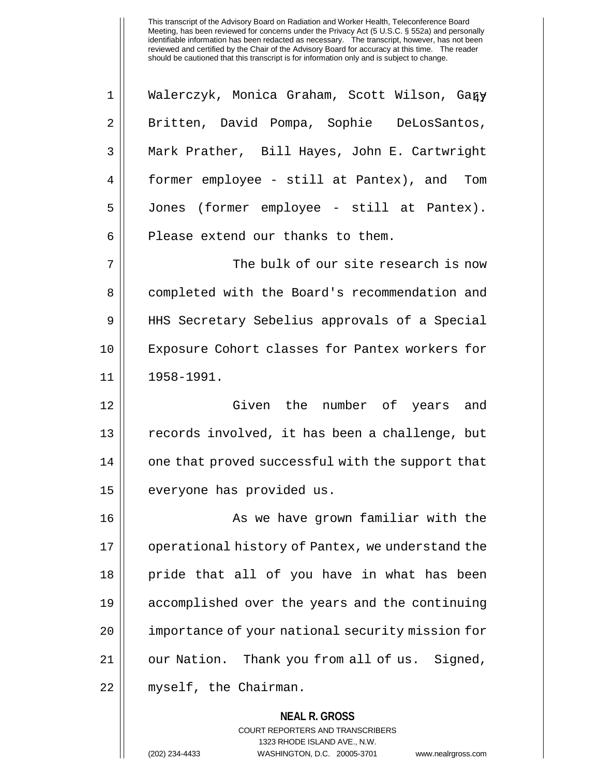**NEAL R. GROSS** 1 || Walerczyk, Monica Graham, Scott Wilson, Gary 2 || Britten, David Pompa, Sophie DeLosSantos, 3 Mark Prather, Bill Hayes, John E. Cartwright 4 former employee - still at Pantex), and Tom 5 Jones (former employee - still at Pantex).  $6$  | Please extend our thanks to them. 7 The bulk of our site research is now 8 || completed with the Board's recommendation and 9 HHS Secretary Sebelius approvals of a Special 10 || Exposure Cohort classes for Pantex workers for 11 1958-1991. 12 Given the number of years and 13 || records involved, it has been a challenge, but 14 || one that proved successful with the support that 15 | everyone has provided us. 16 || As we have grown familiar with the 17 || operational history of Pantex, we understand the 18 pride that all of you have in what has been 19 accomplished over the years and the continuing 20 || importance of your national security mission for 21 || our Nation. Thank you from all of us. Signed, 22 | myself, the Chairman.

> COURT REPORTERS AND TRANSCRIBERS 1323 RHODE ISLAND AVE., N.W.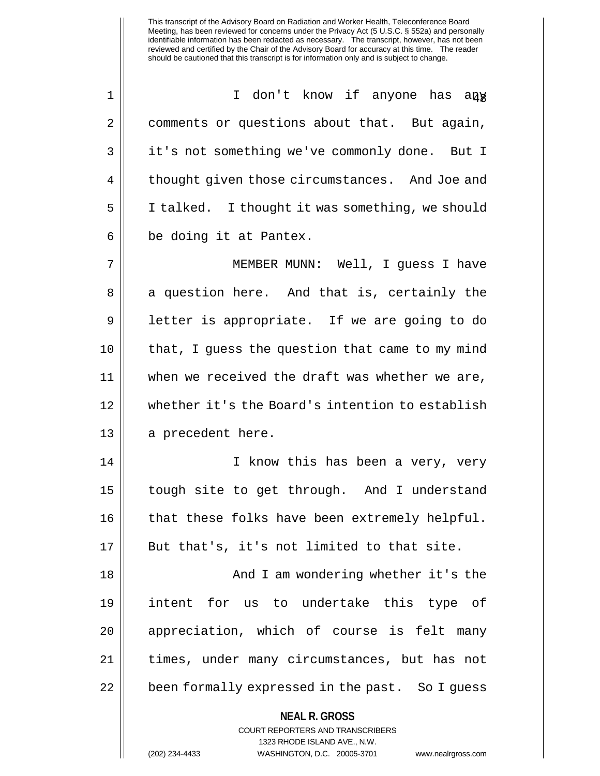1 || I don't know if anyone has any 2 comments or questions about that. But again, 3 || it's not something we've commonly done. But I 4 || thought given those circumstances. And Joe and 5 | I talked. I thought it was something, we should  $6 \parallel$  be doing it at Pantex.

7 MEMBER MUNN: Well, I guess I have 8 || a question here. And that is, certainly the 9 || letter is appropriate. If we are going to do 10 || that, I quess the question that came to my mind 11 when we received the draft was whether we are, 12 whether it's the Board's intention to establish 13 || a precedent here.

14 || I know this has been a very, very 15 tough site to get through. And I understand 16 || that these folks have been extremely helpful. 17 || But that's, it's not limited to that site.

 And I am wondering whether it's the intent for us to undertake this type of 20 || appreciation, which of course is felt many times, under many circumstances, but has not | been formally expressed in the past. So I guess

**NEAL R. GROSS**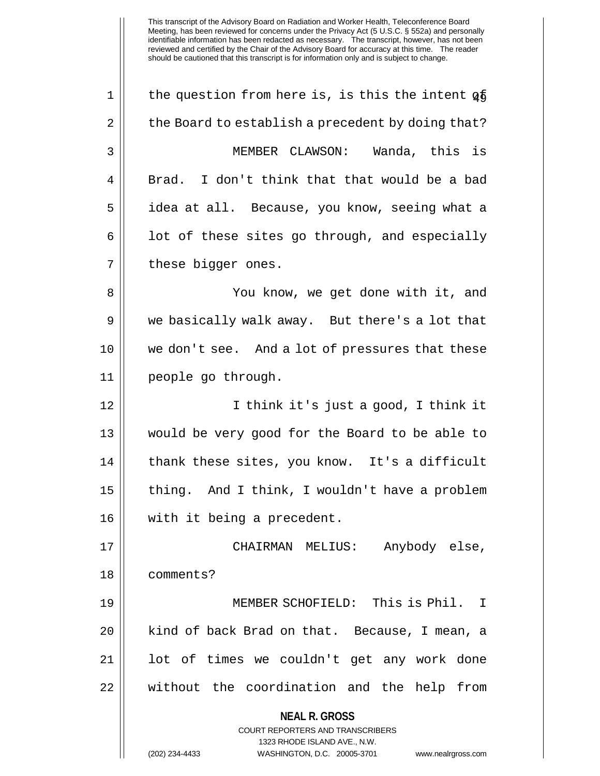**NEAL R. GROSS** COURT REPORTERS AND TRANSCRIBERS 1323 RHODE ISLAND AVE., N.W. (202) 234-4433 WASHINGTON, D.C. 20005-3701 www.nealrgross.com  $1 \parallel$  the question from here is, is this the intent  $q\bar{5}$  $2 \parallel$  the Board to establish a precedent by doing that? 3 MEMBER CLAWSON: Wanda, this is  $4 \parallel$  Brad. I don't think that that would be a bad 5 | | idea at all. Because, you know, seeing what a  $6 \parallel$  1 ot of these sites go through, and especially 7 || these bigger ones. 8 You know, we get done with it, and 9 we basically walk away. But there's a lot that 10 we don't see. And a lot of pressures that these 11 people go through. 12 I think it's just a good, I think it 13 would be very good for the Board to be able to 14 || thank these sites, you know. It's a difficult 15 thing. And I think, I wouldn't have a problem 16 with it being a precedent. 17 CHAIRMAN MELIUS: Anybody else, 18 comments? 19 MEMBER SCHOFIELD: This is Phil. I 20 || kind of back Brad on that. Because, I mean, a 21 || lot of times we couldn't get any work done 22 || without the coordination and the help from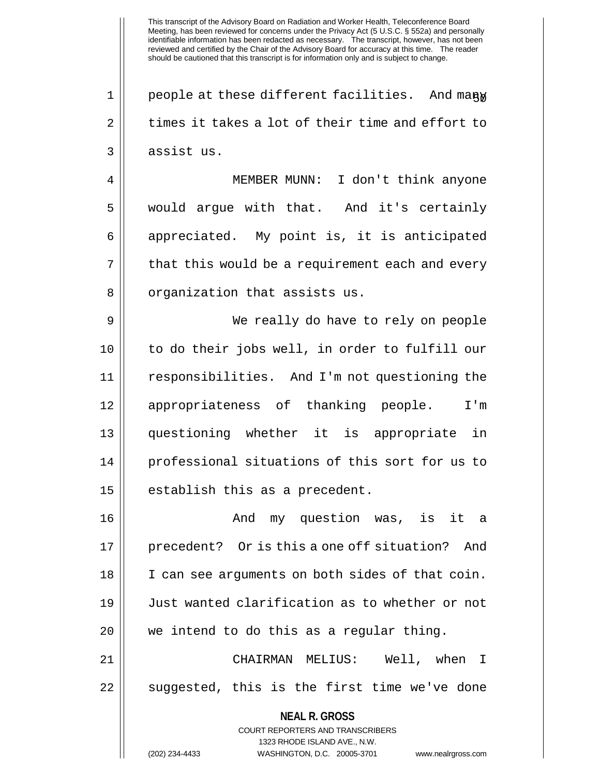$1 \parallel$  people at these different facilities. And many  $2 \parallel$  times it takes a lot of their time and effort to 3 || assist us.

4 MEMBER MUNN: I don't think anyone 5 would argue with that. And it's certainly 6 || appreciated. My point is, it is anticipated  $7 ||$  that this would be a requirement each and every 8 || organization that assists us.

 We really do have to rely on people to do their jobs well, in order to fulfill our responsibilities. And I'm not questioning the 12 || appropriateness of thanking people. I'm questioning whether it is appropriate in professional situations of this sort for us to || establish this as a precedent.

 And my question was, is it a precedent? Or is this a one off situation? And I can see arguments on both sides of that coin. Just wanted clarification as to whether or not 20 || we intend to do this as a regular thing.

21 CHAIRMAN MELIUS: Well, when I  $22$  || suggested, this is the first time we've done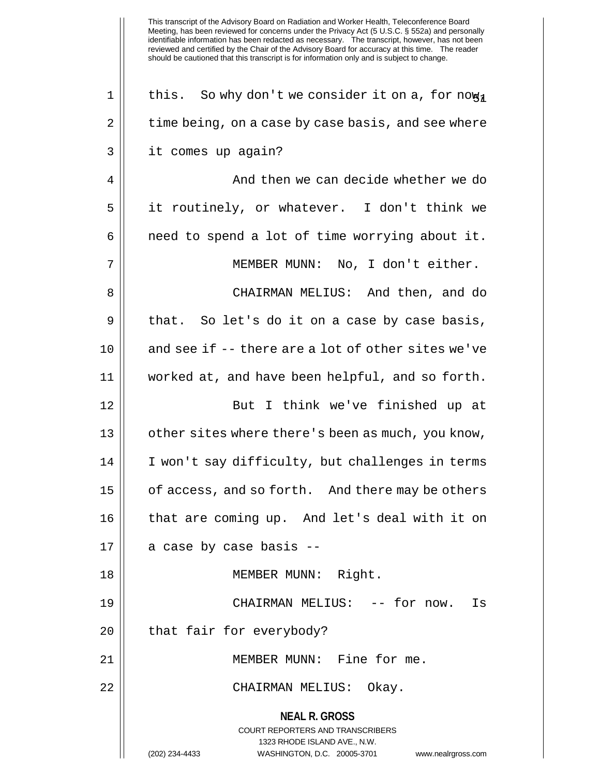**NEAL R. GROSS** COURT REPORTERS AND TRANSCRIBERS 1323 RHODE ISLAND AVE., N.W. (202) 234-4433 WASHINGTON, D.C. 20005-3701 www.nealrgross.com 1 | this. So why don't we consider it on a, for now,  $2 \parallel$  time being, on a case by case basis, and see where 3 || it comes up again? 4 || And then we can decide whether we do 5 it routinely, or whatever. I don't think we  $6 \parallel$  need to spend a lot of time worrying about it. 7 MEMBER MUNN: No, I don't either. 8 CHAIRMAN MELIUS: And then, and do  $9 \parallel$  that. So let's do it on a case by case basis,  $10$  || and see if -- there are a lot of other sites we've 11 worked at, and have been helpful, and so forth. 12 || But I think we've finished up at 13 || other sites where there's been as much, you know, 14 I won't say difficulty, but challenges in terms 15 | of access, and so forth. And there may be others 16 || that are coming up. And let's deal with it on  $17 \parallel$  a case by case basis --18 MEMBER MUNN: Right. 19 CHAIRMAN MELIUS: -- for now. Is  $20$  || that fair for everybody? 21 MEMBER MUNN: Fine for me. 22 CHAIRMAN MELIUS: Okay.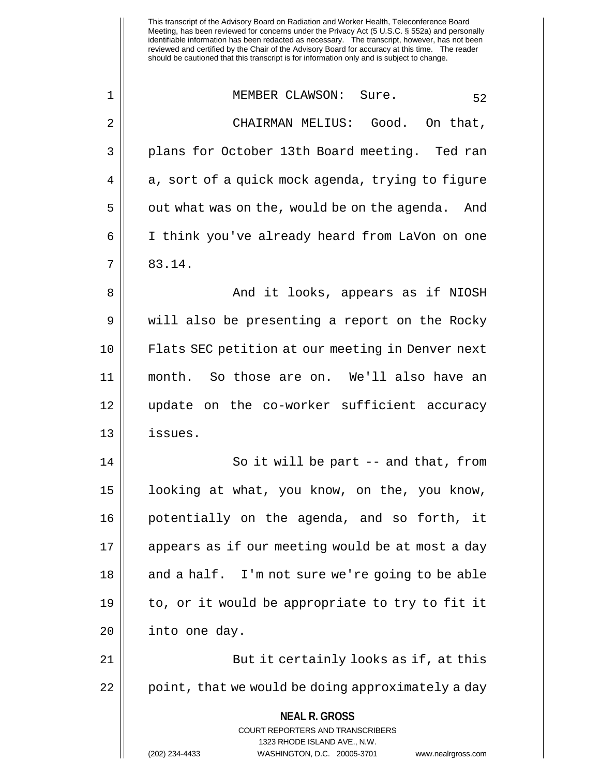This transcript of the Advisory Board on Radiation and Worker Health, Teleconference Board Meeting, has been reviewed for concerns under the Privacy Act (5 U.S.C. § 552a) and personally identifiable information has been redacted as necessary. The transcript, however, has not been reviewed and certified by the Chair of the Advisory Board for accuracy at this time. The reader should be cautioned that this transcript is for information only and is subject to change. 1 MEMBER CLAWSON: Sure. 52 2 CHAIRMAN MELIUS: Good. On that, 3 || plans for October 13th Board meeting. Ted ran

 $4 \parallel a$ , sort of a quick mock agenda, trying to figure  $5 \parallel$  out what was on the, would be on the agenda. And 6 I think you've already heard from LaVon on one  $7 \parallel 83.14.$ 

 And it looks, appears as if NIOSH 9 || will also be presenting a report on the Rocky Flats SEC petition at our meeting in Denver next month. So those are on. We'll also have an update on the co-worker sufficient accuracy 13 issues.

14 || So it will be part -- and that, from 15 | looking at what, you know, on the, you know, 16 potentially on the agenda, and so forth, it 17 || appears as if our meeting would be at most a day  $18$  || and a half. I'm not sure we're going to be able 19 to, or it would be appropriate to try to fit it 20 | into one day.

21 || But it certainly looks as if, at this 22  $\vert \vert$  point, that we would be doing approximately a day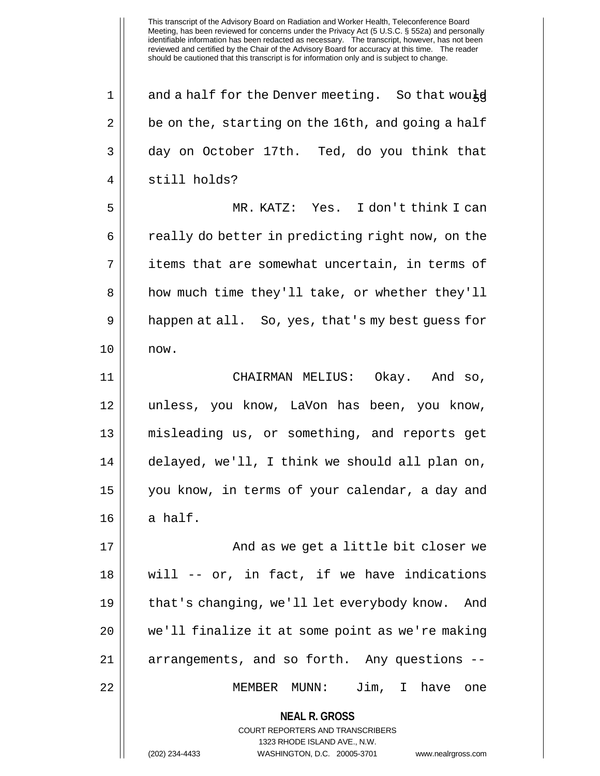**NEAL R. GROSS** COURT REPORTERS AND TRANSCRIBERS 1323 RHODE ISLAND AVE., N.W. (202) 234-4433 WASHINGTON, D.C. 20005-3701 www.nealrgross.com  $1 \parallel$  and a half for the Denver meeting. So that would  $2 \parallel$  be on the, starting on the 16th, and going a half 3 day on October 17th. Ted, do you think that 4 || still holds? 5 MR. KATZ: Yes. I don't think I can 6 | really do better in predicting right now, on the  $7 \parallel$  items that are somewhat uncertain, in terms of 8 || how much time they'll take, or whether they'll 9 || happen at all. So, yes, that's my best guess for  $10 \parallel \text{now}.$ 11 CHAIRMAN MELIUS: Okay. And so, 12 unless, you know, LaVon has been, you know, 13 misleading us, or something, and reports get 14 delayed, we'll, I think we should all plan on, 15 you know, in terms of your calendar, a day and  $16 \parallel$  a half. 17 || And as we get a little bit closer we 18 will -- or, in fact, if we have indications 19 | that's changing, we'll let everybody know. And 20 || we'll finalize it at some point as we're making 21 || arrangements, and so forth. Any questions --22 MEMBER MUNN: Jim, I have one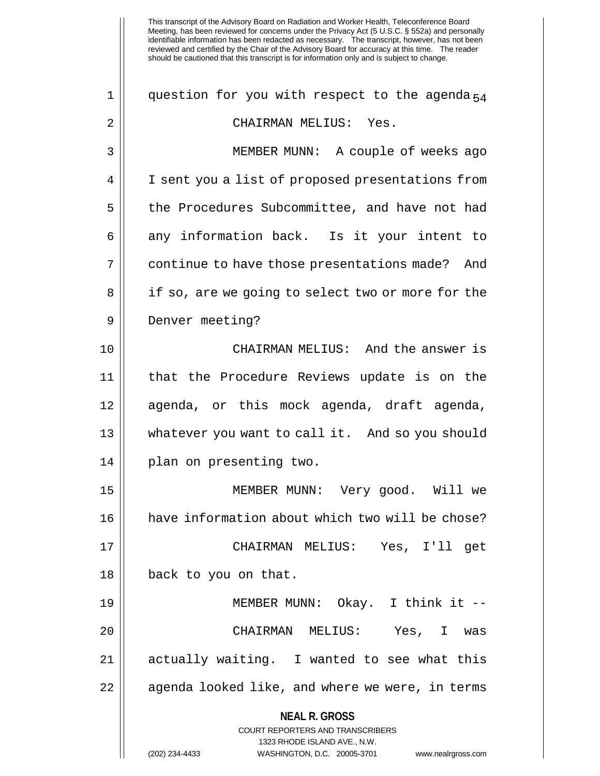| $\mathbf 1$ | question for you with respect to the agenda <sub>54</sub>                                                                                                              |
|-------------|------------------------------------------------------------------------------------------------------------------------------------------------------------------------|
| 2           | CHAIRMAN MELIUS: Yes.                                                                                                                                                  |
| 3           | MEMBER MUNN: A couple of weeks ago                                                                                                                                     |
| 4           | I sent you a list of proposed presentations from                                                                                                                       |
| 5           | the Procedures Subcommittee, and have not had                                                                                                                          |
| 6           | any information back. Is it your intent to                                                                                                                             |
| 7           | continue to have those presentations made? And                                                                                                                         |
| 8           | if so, are we going to select two or more for the                                                                                                                      |
| 9           | Denver meeting?                                                                                                                                                        |
| 10          | CHAIRMAN MELIUS: And the answer is                                                                                                                                     |
| 11          | that the Procedure Reviews update is on the                                                                                                                            |
| 12          | agenda, or this mock agenda, draft agenda,                                                                                                                             |
| 13          | whatever you want to call it. And so you should                                                                                                                        |
| 14          | plan on presenting two.                                                                                                                                                |
| 15          | MEMBER MUNN: Very good. Will we                                                                                                                                        |
| 16          | have information about which two will be chose?                                                                                                                        |
| 17          | CHAIRMAN MELIUS: Yes, I'll get                                                                                                                                         |
| 18          | back to you on that.                                                                                                                                                   |
| 19          | MEMBER MUNN: Okay. I think it --                                                                                                                                       |
| 20          | CHAIRMAN MELIUS: Yes, I was                                                                                                                                            |
| 21          | actually waiting. I wanted to see what this                                                                                                                            |
| 22          | agenda looked like, and where we were, in terms                                                                                                                        |
|             | <b>NEAL R. GROSS</b><br><b>COURT REPORTERS AND TRANSCRIBERS</b><br>1323 RHODE ISLAND AVE., N.W.<br>(202) 234-4433<br>WASHINGTON, D.C. 20005-3701<br>www.nealrgross.com |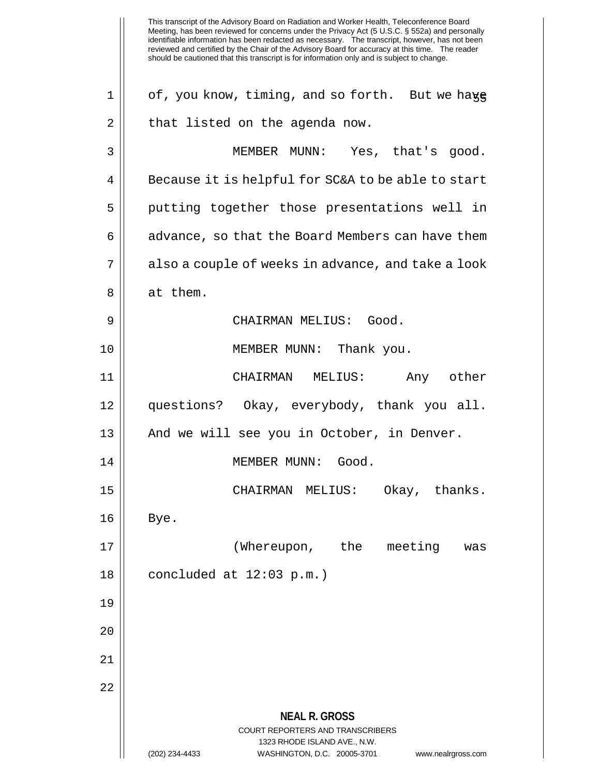This transcript of the Advisory Board on Radiation and Worker Health, Teleconference Board Meeting, has been reviewed for concerns under the Privacy Act (5 U.S.C. § 552a) and personally identifiable information has been redacted as necessary. The transcript, however, has not been reviewed and certified by the Chair of the Advisory Board for accuracy at this time. The reader should be cautioned that this transcript is for information only and is subject to change. **NEAL R. GROSS** COURT REPORTERS AND TRANSCRIBERS 1323 RHODE ISLAND AVE., N.W. (202) 234-4433 WASHINGTON, D.C. 20005-3701 www.nealrgross.com  $1 ||$  of, you know, timing, and so forth. But we have  $2 \parallel$  that listed on the agenda now. 3 || MEMBER MUNN: Yes, that's good.  $4 \parallel$  Because it is helpful for SC&A to be able to start 5 || putting together those presentations well in  $6 \parallel$  advance, so that the Board Members can have them 7 || also a couple of weeks in advance, and take a look 8 || at them. 9 CHAIRMAN MELIUS: Good. 10 || **MEMBER MUNN:** Thank you. 11 CHAIRMAN MELIUS: Any other 12 questions? Okay, everybody, thank you all. 13 || And we will see you in October, in Denver. 14 || MEMBER MUNN: Good. 15 CHAIRMAN MELIUS: Okay, thanks.  $16 \parallel$  Bye. 17 (Whereupon, the meeting was  $18$  || concluded at  $12:03$  p.m.) 19 20 21 22